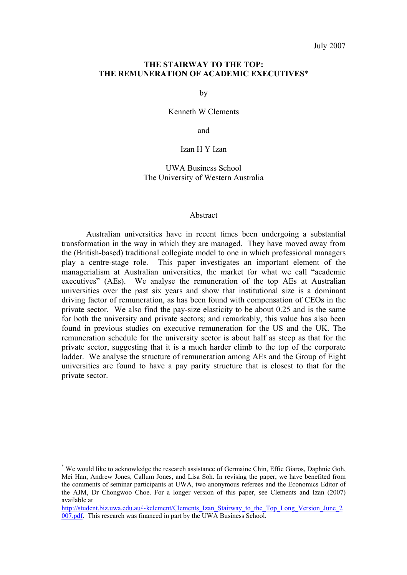## **THE STAIRWAY TO THE TOP: THE REMUNERATION OF ACADEMIC EXECUTIVES**\*

by

Kenneth W Clements

and

#### Izan H Y Izan

UWA Business School The University of Western Australia

#### Abstract

Australian universities have in recent times been undergoing a substantial transformation in the way in which they are managed. They have moved away from the (British-based) traditional collegiate model to one in which professional managers play a centre-stage role. This paper investigates an important element of the managerialism at Australian universities, the market for what we call "academic executives" (AEs). We analyse the remuneration of the top AEs at Australian universities over the past six years and show that institutional size is a dominant driving factor of remuneration, as has been found with compensation of CEOs in the private sector. We also find the pay-size elasticity to be about 0.25 and is the same for both the university and private sectors; and remarkably, this value has also been found in previous studies on executive remuneration for the US and the UK. The remuneration schedule for the university sector is about half as steep as that for the private sector, suggesting that it is a much harder climb to the top of the corporate ladder. We analyse the structure of remuneration among AEs and the Group of Eight universities are found to have a pay parity structure that is closest to that for the private sector.

<sup>\*</sup> We would like to acknowledge the research assistance of Germaine Chin, Effie Giaros, Daphnie Goh, Mei Han, Andrew Jones, Callum Jones, and Lisa Soh. In revising the paper, we have benefited from the comments of seminar participants at UWA, two anonymous referees and the Economics Editor of the AJM, Dr Chongwoo Choe. For a longer version of this paper, see Clements and Izan (2007) available at

http://student.biz.uwa.edu.au/~kclement/Clements\_Izan\_Stairway\_to\_the\_Top\_Long\_Version\_June\_2 007.pdf. This research was financed in part by the UWA Business School.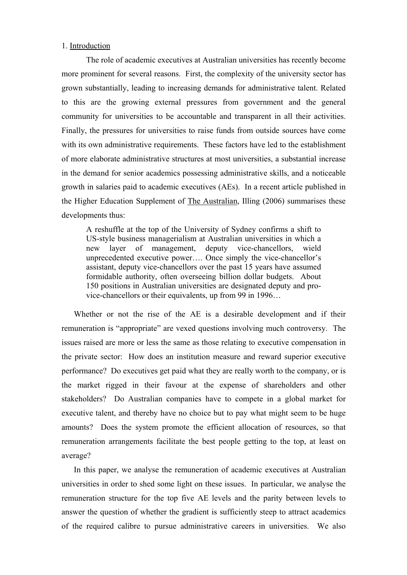### 1. Introduction

The role of academic executives at Australian universities has recently become more prominent for several reasons. First, the complexity of the university sector has grown substantially, leading to increasing demands for administrative talent. Related to this are the growing external pressures from government and the general community for universities to be accountable and transparent in all their activities. Finally, the pressures for universities to raise funds from outside sources have come with its own administrative requirements. These factors have led to the establishment of more elaborate administrative structures at most universities, a substantial increase in the demand for senior academics possessing administrative skills, and a noticeable growth in salaries paid to academic executives (AEs). In a recent article published in the Higher Education Supplement of The Australian, Illing (2006) summarises these developments thus:

A reshuffle at the top of the University of Sydney confirms a shift to US-style business managerialism at Australian universities in which a new layer of management, deputy vice-chancellors, wield unprecedented executive power…. Once simply the vice-chancellor's assistant, deputy vice-chancellors over the past 15 years have assumed formidable authority, often overseeing billion dollar budgets. About 150 positions in Australian universities are designated deputy and provice-chancellors or their equivalents, up from 99 in 1996…

Whether or not the rise of the AE is a desirable development and if their remuneration is "appropriate" are vexed questions involving much controversy. The issues raised are more or less the same as those relating to executive compensation in the private sector: How does an institution measure and reward superior executive performance? Do executives get paid what they are really worth to the company, or is the market rigged in their favour at the expense of shareholders and other stakeholders? Do Australian companies have to compete in a global market for executive talent, and thereby have no choice but to pay what might seem to be huge amounts? Does the system promote the efficient allocation of resources, so that remuneration arrangements facilitate the best people getting to the top, at least on average?

In this paper, we analyse the remuneration of academic executives at Australian universities in order to shed some light on these issues. In particular, we analyse the remuneration structure for the top five AE levels and the parity between levels to answer the question of whether the gradient is sufficiently steep to attract academics of the required calibre to pursue administrative careers in universities. We also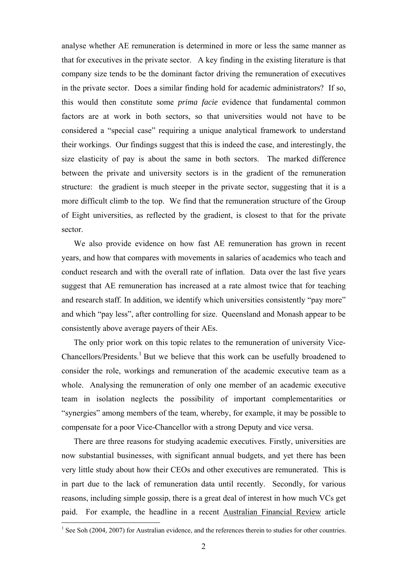analyse whether AE remuneration is determined in more or less the same manner as that for executives in the private sector. A key finding in the existing literature is that company size tends to be the dominant factor driving the remuneration of executives in the private sector. Does a similar finding hold for academic administrators? If so, this would then constitute some *prima facie* evidence that fundamental common factors are at work in both sectors, so that universities would not have to be considered a "special case" requiring a unique analytical framework to understand their workings. Our findings suggest that this is indeed the case, and interestingly, the size elasticity of pay is about the same in both sectors. The marked difference between the private and university sectors is in the gradient of the remuneration structure: the gradient is much steeper in the private sector, suggesting that it is a more difficult climb to the top. We find that the remuneration structure of the Group of Eight universities, as reflected by the gradient, is closest to that for the private sector.

We also provide evidence on how fast AE remuneration has grown in recent years, and how that compares with movements in salaries of academics who teach and conduct research and with the overall rate of inflation. Data over the last five years suggest that AE remuneration has increased at a rate almost twice that for teaching and research staff. In addition, we identify which universities consistently "pay more" and which "pay less", after controlling for size. Queensland and Monash appear to be consistently above average payers of their AEs.

The only prior work on this topic relates to the remuneration of university Vice-Chancellors/Presidents.<sup>1</sup> But we believe that this work can be usefully broadened to consider the role, workings and remuneration of the academic executive team as a whole. Analysing the remuneration of only one member of an academic executive team in isolation neglects the possibility of important complementarities or "synergies" among members of the team, whereby, for example, it may be possible to compensate for a poor Vice-Chancellor with a strong Deputy and vice versa.

There are three reasons for studying academic executives. Firstly, universities are now substantial businesses, with significant annual budgets, and yet there has been very little study about how their CEOs and other executives are remunerated. This is in part due to the lack of remuneration data until recently. Secondly, for various reasons, including simple gossip, there is a great deal of interest in how much VCs get paid. For example, the headline in a recent Australian Financial Review article

 $\overline{a}$ 

 $<sup>1</sup>$  See Soh (2004, 2007) for Australian evidence, and the references therein to studies for other countries.</sup>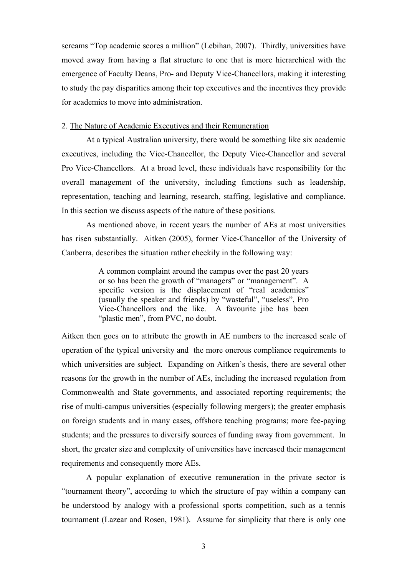screams "Top academic scores a million" (Lebihan, 2007). Thirdly, universities have moved away from having a flat structure to one that is more hierarchical with the emergence of Faculty Deans, Pro- and Deputy Vice-Chancellors, making it interesting to study the pay disparities among their top executives and the incentives they provide for academics to move into administration.

### 2. The Nature of Academic Executives and their Remuneration

 At a typical Australian university, there would be something like six academic executives, including the Vice-Chancellor, the Deputy Vice-Chancellor and several Pro Vice-Chancellors. At a broad level, these individuals have responsibility for the overall management of the university, including functions such as leadership, representation, teaching and learning, research, staffing, legislative and compliance. In this section we discuss aspects of the nature of these positions.

As mentioned above, in recent years the number of AEs at most universities has risen substantially. Aitken (2005), former Vice-Chancellor of the University of Canberra, describes the situation rather cheekily in the following way:

> A common complaint around the campus over the past 20 years or so has been the growth of "managers" or "management". A specific version is the displacement of "real academics" (usually the speaker and friends) by "wasteful", "useless", Pro Vice-Chancellors and the like. A favourite jibe has been "plastic men", from PVC, no doubt.

Aitken then goes on to attribute the growth in AE numbers to the increased scale of operation of the typical university and the more onerous compliance requirements to which universities are subject. Expanding on Aitken's thesis, there are several other reasons for the growth in the number of AEs, including the increased regulation from Commonwealth and State governments, and associated reporting requirements; the rise of multi-campus universities (especially following mergers); the greater emphasis on foreign students and in many cases, offshore teaching programs; more fee-paying students; and the pressures to diversify sources of funding away from government. In short, the greater size and complexity of universities have increased their management requirements and consequently more AEs.

 A popular explanation of executive remuneration in the private sector is "tournament theory", according to which the structure of pay within a company can be understood by analogy with a professional sports competition, such as a tennis tournament (Lazear and Rosen, 1981). Assume for simplicity that there is only one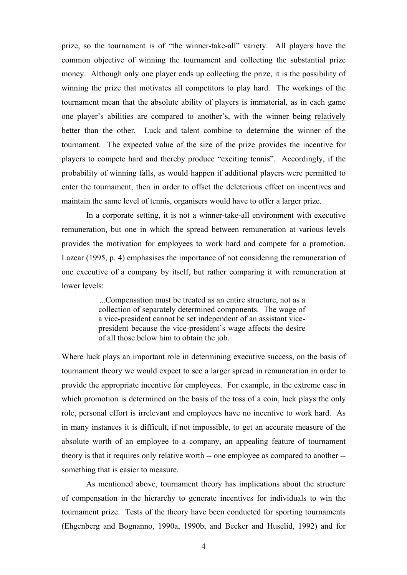prize, so the tournament is of "the winner-take-all" variety. All players have the common objective of winning the tournament and collecting the substantial prize money. Although only one player ends up collecting the prize, it is the possibility of winning the prize that motivates all competitors to play hard. The workings of the tournament mean that the absolute ability of players is immaterial, as in each game one player's abilities are compared to another's, with the winner being relatively better than the other. Luck and talent combine to determine the winner of the tournament. The expected value of the size of the prize provides the incentive for players to compete hard and thereby produce "exciting tennis". Accordingly, if the probability of winning falls, as would happen if additional players were permitted to enter the tournament, then in order to offset the deleterious effect on incentives and maintain the same level of tennis, organisers would have to offer a larger prize.

In a corporate setting, it is not a winner-take-all environment with executive remuneration, but one in which the spread between remuneration at various levels provides the motivation for employees to work hard and compete for a promotion. Lazear (1995, p. 4) emphasises the importance of not considering the remuneration of one executive of a company by itself, but rather comparing it with remuneration at lower levels:

> ...Compensation must be treated as an entire structure, not as a collection of separately determined components. The wage of a vice-president cannot be set independent of an assistant vicepresident because the vice-president's wage affects the desire of all those below him to obtain the job.

Where luck plays an important role in determining executive success, on the basis of tournament theory we would expect to see a larger spread in remuneration in order to provide the appropriate incentive for employees. For example, in the extreme case in which promotion is determined on the basis of the toss of a coin, luck plays the only role, personal effort is irrelevant and employees have no incentive to work hard. As in many instances it is difficult, if not impossible, to get an accurate measure of the absolute worth of an employee to a company, an appealing feature of tournament theory is that it requires only relative worth -- one employee as compared to another - something that is easier to measure.

As mentioned above, tournament theory has implications about the structure of compensation in the hierarchy to generate incentives for individuals to win the tournament prize. Tests of the theory have been conducted for sporting tournaments (Ehgenberg and Bognanno, 1990a, 1990b, and Becker and Huselid, 1992) and for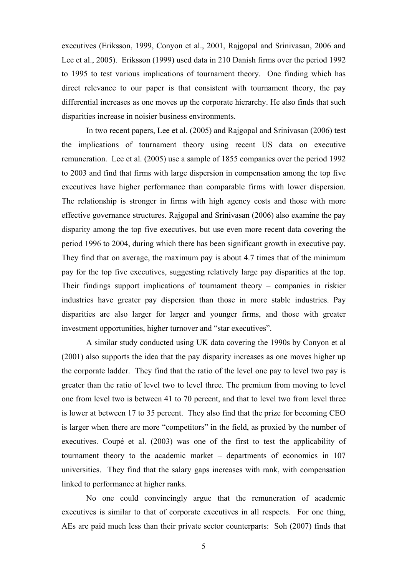executives (Eriksson, 1999, Conyon et al., 2001, Rajgopal and Srinivasan, 2006 and Lee et al., 2005). Eriksson (1999) used data in 210 Danish firms over the period 1992 to 1995 to test various implications of tournament theory. One finding which has direct relevance to our paper is that consistent with tournament theory, the pay differential increases as one moves up the corporate hierarchy. He also finds that such disparities increase in noisier business environments.

In two recent papers, Lee et al. (2005) and Rajgopal and Srinivasan (2006) test the implications of tournament theory using recent US data on executive remuneration. Lee et al. (2005) use a sample of 1855 companies over the period 1992 to 2003 and find that firms with large dispersion in compensation among the top five executives have higher performance than comparable firms with lower dispersion. The relationship is stronger in firms with high agency costs and those with more effective governance structures. Rajgopal and Srinivasan (2006) also examine the pay disparity among the top five executives, but use even more recent data covering the period 1996 to 2004, during which there has been significant growth in executive pay. They find that on average, the maximum pay is about 4.7 times that of the minimum pay for the top five executives, suggesting relatively large pay disparities at the top. Their findings support implications of tournament theory – companies in riskier industries have greater pay dispersion than those in more stable industries. Pay disparities are also larger for larger and younger firms, and those with greater investment opportunities, higher turnover and "star executives".

A similar study conducted using UK data covering the 1990s by Conyon et al (2001) also supports the idea that the pay disparity increases as one moves higher up the corporate ladder. They find that the ratio of the level one pay to level two pay is greater than the ratio of level two to level three. The premium from moving to level one from level two is between 41 to 70 percent, and that to level two from level three is lower at between 17 to 35 percent. They also find that the prize for becoming CEO is larger when there are more "competitors" in the field, as proxied by the number of executives. Coupé et al. (2003) was one of the first to test the applicability of tournament theory to the academic market – departments of economics in 107 universities. They find that the salary gaps increases with rank, with compensation linked to performance at higher ranks.

 No one could convincingly argue that the remuneration of academic executives is similar to that of corporate executives in all respects. For one thing, AEs are paid much less than their private sector counterparts: Soh (2007) finds that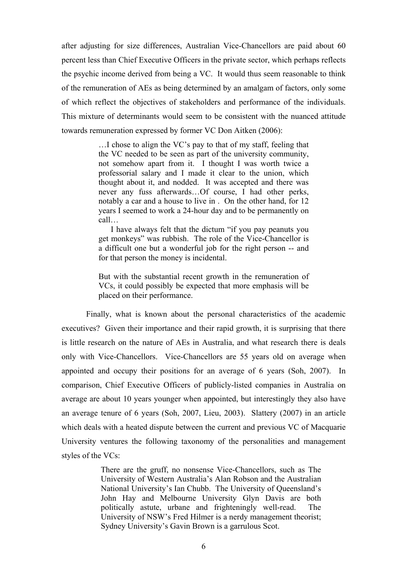after adjusting for size differences, Australian Vice-Chancellors are paid about 60 percent less than Chief Executive Officers in the private sector, which perhaps reflects the psychic income derived from being a VC. It would thus seem reasonable to think of the remuneration of AEs as being determined by an amalgam of factors, only some of which reflect the objectives of stakeholders and performance of the individuals. This mixture of determinants would seem to be consistent with the nuanced attitude towards remuneration expressed by former VC Don Aitken (2006):

> …I chose to align the VC's pay to that of my staff, feeling that the VC needed to be seen as part of the university community, not somehow apart from it. I thought I was worth twice a professorial salary and I made it clear to the union, which thought about it, and nodded. It was accepted and there was never any fuss afterwards…Of course, I had other perks, notably a car and a house to live in . On the other hand, for 12 years I seemed to work a 24-hour day and to be permanently on call…

> I have always felt that the dictum "if you pay peanuts you get monkeys" was rubbish. The role of the Vice-Chancellor is a difficult one but a wonderful job for the right person -- and for that person the money is incidental.

> But with the substantial recent growth in the remuneration of VCs, it could possibly be expected that more emphasis will be placed on their performance.

Finally, what is known about the personal characteristics of the academic executives? Given their importance and their rapid growth, it is surprising that there is little research on the nature of AEs in Australia, and what research there is deals only with Vice-Chancellors. Vice-Chancellors are 55 years old on average when appointed and occupy their positions for an average of 6 years (Soh, 2007). In comparison, Chief Executive Officers of publicly-listed companies in Australia on average are about 10 years younger when appointed, but interestingly they also have an average tenure of 6 years (Soh, 2007, Lieu, 2003). Slattery (2007) in an article which deals with a heated dispute between the current and previous VC of Macquarie University ventures the following taxonomy of the personalities and management styles of the VCs:

> There are the gruff, no nonsense Vice-Chancellors, such as The University of Western Australia's Alan Robson and the Australian National University's Ian Chubb. The University of Queensland's John Hay and Melbourne University Glyn Davis are both politically astute, urbane and frighteningly well-read. The University of NSW's Fred Hilmer is a nerdy management theorist; Sydney University's Gavin Brown is a garrulous Scot.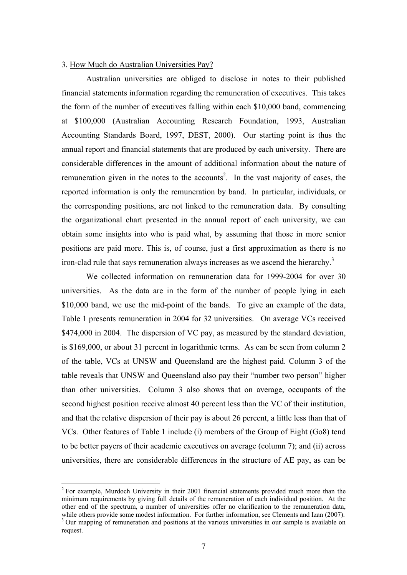## 3. How Much do Australian Universities Pay?

Australian universities are obliged to disclose in notes to their published financial statements information regarding the remuneration of executives. This takes the form of the number of executives falling within each \$10,000 band, commencing at \$100,000 (Australian Accounting Research Foundation, 1993, Australian Accounting Standards Board, 1997, DEST, 2000). Our starting point is thus the annual report and financial statements that are produced by each university. There are considerable differences in the amount of additional information about the nature of remuneration given in the notes to the accounts<sup>2</sup>. In the vast majority of cases, the reported information is only the remuneration by band. In particular, individuals, or the corresponding positions, are not linked to the remuneration data. By consulting the organizational chart presented in the annual report of each university, we can obtain some insights into who is paid what, by assuming that those in more senior positions are paid more. This is, of course, just a first approximation as there is no iron-clad rule that says remuneration always increases as we ascend the hierarchy.<sup>3</sup>

We collected information on remuneration data for 1999-2004 for over 30 universities. As the data are in the form of the number of people lying in each \$10,000 band, we use the mid-point of the bands. To give an example of the data, Table 1 presents remuneration in 2004 for 32 universities. On average VCs received \$474,000 in 2004. The dispersion of VC pay, as measured by the standard deviation, is \$169,000, or about 31 percent in logarithmic terms. As can be seen from column 2 of the table, VCs at UNSW and Queensland are the highest paid. Column 3 of the table reveals that UNSW and Queensland also pay their "number two person" higher than other universities. Column 3 also shows that on average, occupants of the second highest position receive almost 40 percent less than the VC of their institution, and that the relative dispersion of their pay is about 26 percent, a little less than that of VCs. Other features of Table 1 include (i) members of the Group of Eight (Go8) tend to be better payers of their academic executives on average (column 7); and (ii) across universities, there are considerable differences in the structure of AE pay, as can be

 $\overline{a}$ 

 $2^{2}$  For example, Murdoch University in their 2001 financial statements provided much more than the minimum requirements by giving full details of the remuneration of each individual position. At the other end of the spectrum, a number of universities offer no clarification to the remuneration data, while others provide some modest information. For further information, see Clements and Izan (2007).

<sup>&</sup>lt;sup>3</sup> Our mapping of remuneration and positions at the various universities in our sample is available on request.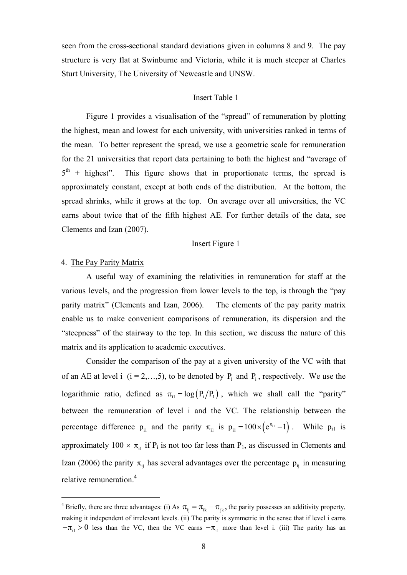seen from the cross-sectional standard deviations given in columns 8 and 9. The pay structure is very flat at Swinburne and Victoria, while it is much steeper at Charles Sturt University, The University of Newcastle and UNSW.

### Insert Table 1

Figure 1 provides a visualisation of the "spread" of remuneration by plotting the highest, mean and lowest for each university, with universities ranked in terms of the mean. To better represent the spread, we use a geometric scale for remuneration for the 21 universities that report data pertaining to both the highest and "average of  $5<sup>th</sup>$  + highest". This figure shows that in proportionate terms, the spread is approximately constant, except at both ends of the distribution. At the bottom, the spread shrinks, while it grows at the top. On average over all universities, the VC earns about twice that of the fifth highest AE. For further details of the data, see Clements and Izan (2007).

#### Insert Figure 1

### 4. The Pay Parity Matrix

 $\overline{a}$ 

A useful way of examining the relativities in remuneration for staff at the various levels, and the progression from lower levels to the top, is through the "pay parity matrix" (Clements and Izan, 2006). The elements of the pay parity matrix enable us to make convenient comparisons of remuneration, its dispersion and the "steepness" of the stairway to the top. In this section, we discuss the nature of this matrix and its application to academic executives.

Consider the comparison of the pay at a given university of the VC with that of an AE at level i  $(i = 2, \ldots, 5)$ , to be denoted by  $P_i$  and  $P_i$ , respectively. We use the logarithmic ratio, defined as  $\pi_{ii} = \log(P_i/P_i)$ , which we shall call the "parity" between the remuneration of level i and the VC. The relationship between the percentage difference  $p_{i1}$  and the parity  $\pi_{i1}$  is  $p_{i1} = 100 \times (e^{\pi_{i1}} - 1)$ . While  $p_{i1}$  is approximately  $100 \times \pi_{11}$  if P<sub>i</sub> is not too far less than P<sub>1</sub>, as discussed in Clements and Izan (2006) the parity  $\pi_{ij}$  has several advantages over the percentage  $p_{ij}$  in measuring relative remuneration.<sup>4</sup>

<sup>&</sup>lt;sup>4</sup> Briefly, there are three advantages: (i) As  $\pi_{ij} = \pi_{ik} - \pi_{jk}$ , the parity possesses an additivity property, making it independent of irrelevant levels. (ii) The parity is symmetric in the sense that if level i earns  $-\pi_{i1} > 0$  less than the VC, then the VC earns  $-\pi_{i1}$  more than level i. (iii) The parity has an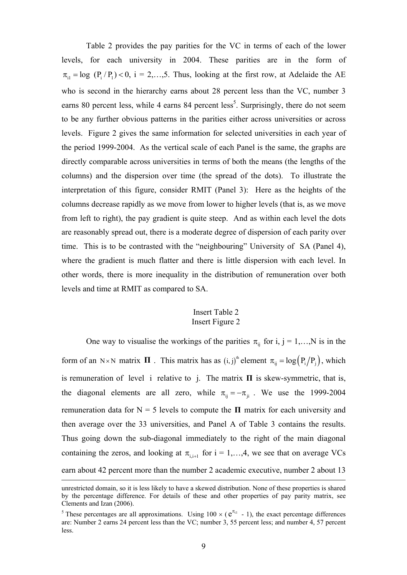Table 2 provides the pay parities for the VC in terms of each of the lower levels, for each university in 2004. These parities are in the form of  $\pi_{i1} = \log (P_i / P_i) < 0$ , i = 2,…,5. Thus, looking at the first row, at Adelaide the AE who is second in the hierarchy earns about 28 percent less than the VC, number 3 earns 80 percent less, while 4 earns 84 percent less<sup>5</sup>. Surprisingly, there do not seem to be any further obvious patterns in the parities either across universities or across levels. Figure 2 gives the same information for selected universities in each year of the period 1999-2004. As the vertical scale of each Panel is the same, the graphs are directly comparable across universities in terms of both the means (the lengths of the columns) and the dispersion over time (the spread of the dots). To illustrate the interpretation of this figure, consider RMIT (Panel 3): Here as the heights of the columns decrease rapidly as we move from lower to higher levels (that is, as we move from left to right), the pay gradient is quite steep. And as within each level the dots are reasonably spread out, there is a moderate degree of dispersion of each parity over time. This is to be contrasted with the "neighbouring" University of SA (Panel 4), where the gradient is much flatter and there is little dispersion with each level. In other words, there is more inequality in the distribution of remuneration over both levels and time at RMIT as compared to SA.

## Insert Table 2 Insert Figure 2

One way to visualise the workings of the parities  $\pi_{ii}$  for i, j = 1,…,N is in the form of an N×N matrix  $\Pi$ . This matrix has as  $(i, j)^{th}$  element  $\pi_{ij} = \log (P_i/P_j)$ , which is remuneration of level i relative to j. The matrix **Π** is skew-symmetric, that is, the diagonal elements are all zero, while  $\pi_{ij} = -\pi_{ji}$ . We use the 1999-2004 remuneration data for  $N = 5$  levels to compute the **Π** matrix for each university and then average over the 33 universities, and Panel A of Table 3 contains the results. Thus going down the sub-diagonal immediately to the right of the main diagonal containing the zeros, and looking at  $\pi_{i+1}$  for  $i = 1, \ldots, 4$ , we see that on average VCs earn about 42 percent more than the number 2 academic executive, number 2 about 13

unrestricted domain, so it is less likely to have a skewed distribution. None of these properties is shared by the percentage difference. For details of these and other properties of pay parity matrix, see Clements and Izan (2006).

<sup>&</sup>lt;sup>5</sup> These percentages are all approximations. Using  $100 \times (e^{\pi_{i1}} - 1)$ , the exact percentage differences are: Number 2 earns 24 percent less than the VC; number 3, 55 percent less; and number 4, 57 percent less.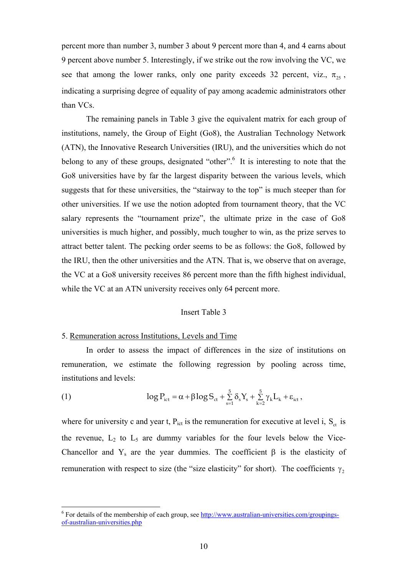percent more than number 3, number 3 about 9 percent more than 4, and 4 earns about 9 percent above number 5. Interestingly, if we strike out the row involving the VC, we see that among the lower ranks, only one parity exceeds 32 percent, viz.,  $\pi_{25}$ , indicating a surprising degree of equality of pay among academic administrators other than VCs.

 The remaining panels in Table 3 give the equivalent matrix for each group of institutions, namely, the Group of Eight (Go8), the Australian Technology Network (ATN), the Innovative Research Universities (IRU), and the universities which do not belong to any of these groups, designated "other". It is interesting to note that the Go8 universities have by far the largest disparity between the various levels, which suggests that for these universities, the "stairway to the top" is much steeper than for other universities. If we use the notion adopted from tournament theory, that the VC salary represents the "tournament prize", the ultimate prize in the case of Go8 universities is much higher, and possibly, much tougher to win, as the prize serves to attract better talent. The pecking order seems to be as follows: the Go8, followed by the IRU, then the other universities and the ATN. That is, we observe that on average, the VC at a Go8 university receives 86 percent more than the fifth highest individual, while the VC at an ATN university receives only 64 percent more.

## Insert Table 3

### 5. Remuneration across Institutions, Levels and Time

 $\overline{a}$ 

In order to assess the impact of differences in the size of institutions on remuneration, we estimate the following regression by pooling across time, institutions and levels:

(1) 
$$
\log P_{\text{ict}} = \alpha + \beta \log S_{\text{ct}} + \sum_{s=1}^{5} \delta_s Y_s + \sum_{k=2}^{5} \gamma_k L_k + \varepsilon_{\text{ict}},
$$

where for university c and year t,  $P_{\text{ict}}$  is the remuneration for executive at level i,  $S_{\text{ct}}$  is the revenue,  $L_2$  to  $L_5$  are dummy variables for the four levels below the Vice-Chancellor and  $Y_s$  are the year dummies. The coefficient  $\beta$  is the elasticity of remuneration with respect to size (the "size elasticity" for short). The coefficients  $\gamma$ ,

 $<sup>6</sup>$  For details of the membership of each group, see  $\frac{http://www.australian-universities.com/groupings-$ </sup> of-australian-universities.php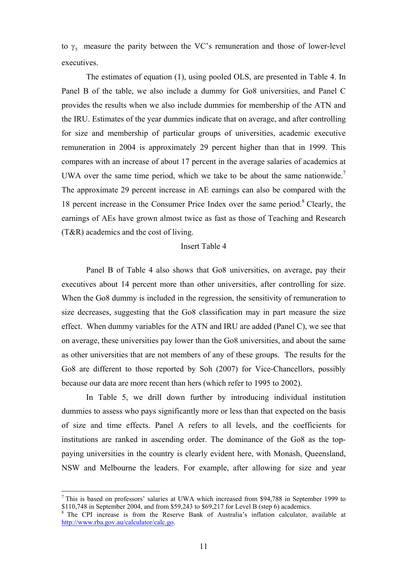to  $\gamma_5$  measure the parity between the VC's remuneration and those of lower-level executives.

The estimates of equation (1), using pooled OLS, are presented in Table 4. In Panel B of the table, we also include a dummy for Go8 universities, and Panel C provides the results when we also include dummies for membership of the ATN and the IRU. Estimates of the year dummies indicate that on average, and after controlling for size and membership of particular groups of universities, academic executive remuneration in 2004 is approximately 29 percent higher than that in 1999. This compares with an increase of about 17 percent in the average salaries of academics at UWA over the same time period, which we take to be about the same nationwide.<sup>7</sup> The approximate 29 percent increase in AE earnings can also be compared with the 18 percent increase in the Consumer Price Index over the same period.<sup>8</sup> Clearly, the earnings of AEs have grown almost twice as fast as those of Teaching and Research (T&R) academics and the cost of living.

#### Insert Table 4

 Panel B of Table 4 also shows that Go8 universities, on average, pay their executives about 14 percent more than other universities, after controlling for size. When the Go8 dummy is included in the regression, the sensitivity of remuneration to size decreases, suggesting that the Go8 classification may in part measure the size effect. When dummy variables for the ATN and IRU are added (Panel C), we see that on average, these universities pay lower than the Go8 universities, and about the same as other universities that are not members of any of these groups. The results for the Go8 are different to those reported by Soh (2007) for Vice-Chancellors, possibly because our data are more recent than hers (which refer to 1995 to 2002).

 In Table 5, we drill down further by introducing individual institution dummies to assess who pays significantly more or less than that expected on the basis of size and time effects. Panel A refers to all levels, and the coefficients for institutions are ranked in ascending order. The dominance of the Go8 as the toppaying universities in the country is clearly evident here, with Monash, Queensland, NSW and Melbourne the leaders. For example, after allowing for size and year

<sup>&</sup>lt;sup>7</sup> This is based on professors' salaries at UWA which increased from \$94,788 in September 1999 to \$110,748 in September 2004, and from \$59,243 to \$69,217 for Level B (step 6) academics.<br><sup>8</sup> The CPI increase is from the Reserve Bank of Australia's inflation calculator, available at

http://www.rba.gov.au/calculator/calc.go.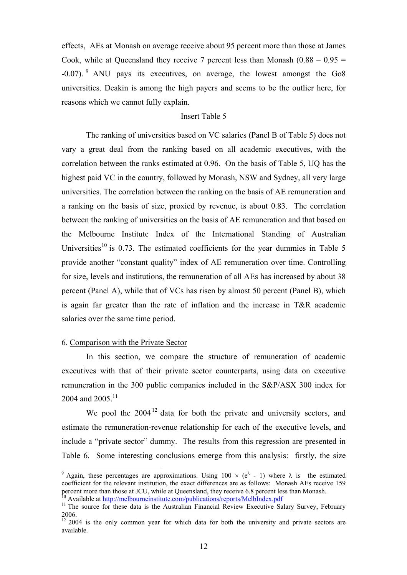effects, AEs at Monash on average receive about 95 percent more than those at James Cook, while at Queensland they receive 7 percent less than Monash  $(0.88 - 0.95 =$  $-0.07$ ). <sup>9</sup> ANU pays its executives, on average, the lowest amongst the Go<sub>8</sub> universities. Deakin is among the high payers and seems to be the outlier here, for reasons which we cannot fully explain.

### Insert Table 5

 The ranking of universities based on VC salaries (Panel B of Table 5) does not vary a great deal from the ranking based on all academic executives, with the correlation between the ranks estimated at 0.96. On the basis of Table 5, UQ has the highest paid VC in the country, followed by Monash, NSW and Sydney, all very large universities. The correlation between the ranking on the basis of AE remuneration and a ranking on the basis of size, proxied by revenue, is about 0.83. The correlation between the ranking of universities on the basis of AE remuneration and that based on the Melbourne Institute Index of the International Standing of Australian Universities<sup>10</sup> is 0.73. The estimated coefficients for the year dummies in Table 5 provide another "constant quality" index of AE remuneration over time. Controlling for size, levels and institutions, the remuneration of all AEs has increased by about 38 percent (Panel A), while that of VCs has risen by almost 50 percent (Panel B), which is again far greater than the rate of inflation and the increase in T&R academic salaries over the same time period.

### 6. Comparison with the Private Sector

 $\overline{a}$ 

 In this section, we compare the structure of remuneration of academic executives with that of their private sector counterparts, using data on executive remuneration in the 300 public companies included in the S&P/ASX 300 index for 2004 and  $2005$ .<sup>11</sup>

We pool the  $2004<sup>12</sup>$  data for both the private and university sectors, and estimate the remuneration-revenue relationship for each of the executive levels, and include a "private sector" dummy. The results from this regression are presented in Table 6. Some interesting conclusions emerge from this analysis: firstly, the size

<sup>&</sup>lt;sup>9</sup> Again, these percentages are approximations. Using  $100 \times (e^{\lambda} - 1)$  where  $\lambda$  is the estimated coefficient for the relevant institution, the exact differences are as follows: Monash AEs receive 159 percent more than those at JCU, while at Queensland, they receive 6.8 percent less than Monash.<br><sup>10</sup> Available at <u>http://melbourneinstitute.com/publications/reports/MelbIndex.pdf<br><sup>11</sup> The source for these data is the <u>Aus</u></u>

<sup>2006.</sup> 

 $12$  2004 is the only common year for which data for both the university and private sectors are available.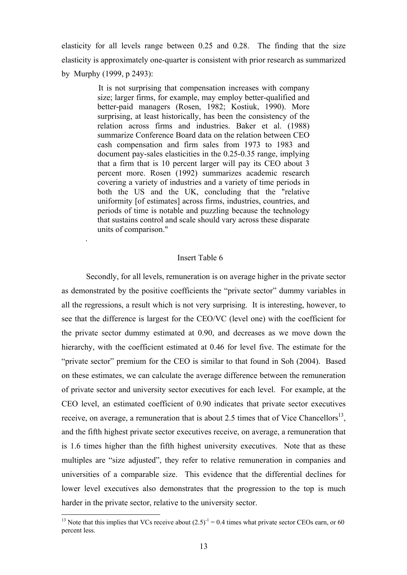elasticity for all levels range between 0.25 and 0.28. The finding that the size elasticity is approximately one-quarter is consistent with prior research as summarized by Murphy (1999, p 2493):

> It is not surprising that compensation increases with company size; larger firms, for example, may employ better-qualified and better-paid managers (Rosen, 1982; Kostiuk, 1990). More surprising, at least historically, has been the consistency of the relation across firms and industries. Baker et al. (1988) summarize Conference Board data on the relation between CEO cash compensation and firm sales from 1973 to 1983 and document pay-sales elasticities in the 0.25-0.35 range, implying that a firm that is 10 percent larger will pay its CEO about 3 percent more. Rosen (1992) summarizes academic research covering a variety of industries and a variety of time periods in both the US and the UK, concluding that the "relative uniformity [of estimates] across firms, industries, countries, and periods of time is notable and puzzling because the technology that sustains control and scale should vary across these disparate units of comparison."

## Insert Table 6

.

 $\overline{a}$ 

 Secondly, for all levels, remuneration is on average higher in the private sector as demonstrated by the positive coefficients the "private sector" dummy variables in all the regressions, a result which is not very surprising. It is interesting, however, to see that the difference is largest for the CEO/VC (level one) with the coefficient for the private sector dummy estimated at 0.90, and decreases as we move down the hierarchy, with the coefficient estimated at 0.46 for level five. The estimate for the "private sector" premium for the CEO is similar to that found in Soh (2004). Based on these estimates, we can calculate the average difference between the remuneration of private sector and university sector executives for each level. For example, at the CEO level, an estimated coefficient of 0.90 indicates that private sector executives receive, on average, a remuneration that is about 2.5 times that of Vice Chancellors<sup>13</sup>, and the fifth highest private sector executives receive, on average, a remuneration that is 1.6 times higher than the fifth highest university executives. Note that as these multiples are "size adjusted", they refer to relative remuneration in companies and universities of a comparable size. This evidence that the differential declines for lower level executives also demonstrates that the progression to the top is much harder in the private sector, relative to the university sector.

<sup>&</sup>lt;sup>13</sup> Note that this implies that VCs receive about  $(2.5)^{-1} = 0.4$  times what private sector CEOs earn, or 60 percent less.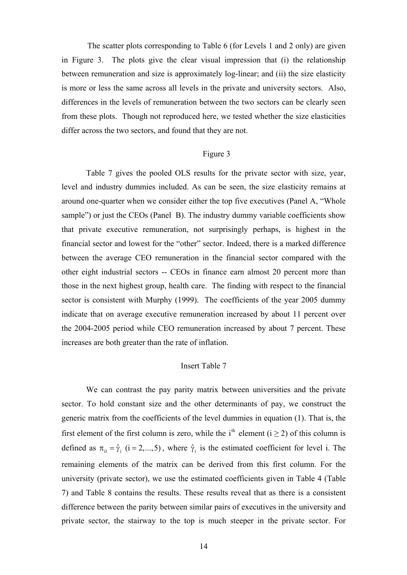The scatter plots corresponding to Table 6 (for Levels 1 and 2 only) are given in Figure 3. The plots give the clear visual impression that (i) the relationship between remuneration and size is approximately log-linear; and (ii) the size elasticity is more or less the same across all levels in the private and university sectors. Also, differences in the levels of remuneration between the two sectors can be clearly seen from these plots. Though not reproduced here, we tested whether the size elasticities differ across the two sectors, and found that they are not.

## Figure 3

 Table 7 gives the pooled OLS results for the private sector with size, year, level and industry dummies included. As can be seen, the size elasticity remains at around one-quarter when we consider either the top five executives (Panel A, "Whole sample") or just the CEOs (Panel B). The industry dummy variable coefficients show that private executive remuneration, not surprisingly perhaps, is highest in the financial sector and lowest for the "other" sector. Indeed, there is a marked difference between the average CEO remuneration in the financial sector compared with the other eight industrial sectors -- CEOs in finance earn almost 20 percent more than those in the next highest group, health care. The finding with respect to the financial sector is consistent with Murphy (1999). The coefficients of the year 2005 dummy indicate that on average executive remuneration increased by about 11 percent over the 2004-2005 period while CEO remuneration increased by about 7 percent. These increases are both greater than the rate of inflation.

#### Insert Table 7

 We can contrast the pay parity matrix between universities and the private sector. To hold constant size and the other determinants of pay, we construct the generic matrix from the coefficients of the level dummies in equation (1). That is, the first element of the first column is zero, while the i<sup>th</sup> element ( $i \ge 2$ ) of this column is defined as  $\pi_{i1} = \hat{\gamma}_i$  (i = 2,...,5), where  $\hat{\gamma}_i$  is the estimated coefficient for level i. The remaining elements of the matrix can be derived from this first column. For the university (private sector), we use the estimated coefficients given in Table 4 (Table 7) and Table 8 contains the results. These results reveal that as there is a consistent difference between the parity between similar pairs of executives in the university and private sector, the stairway to the top is much steeper in the private sector. For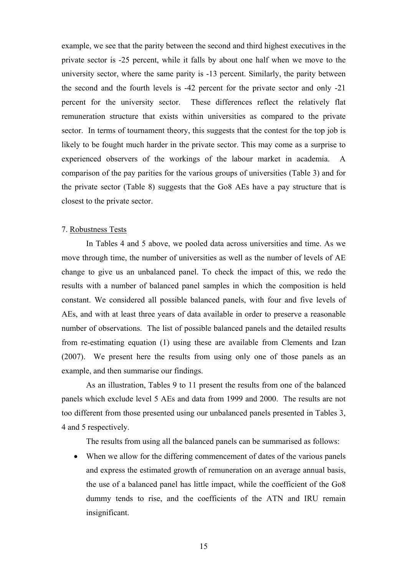example, we see that the parity between the second and third highest executives in the private sector is -25 percent, while it falls by about one half when we move to the university sector, where the same parity is -13 percent. Similarly, the parity between the second and the fourth levels is -42 percent for the private sector and only -21 percent for the university sector. These differences reflect the relatively flat remuneration structure that exists within universities as compared to the private sector. In terms of tournament theory, this suggests that the contest for the top job is likely to be fought much harder in the private sector. This may come as a surprise to experienced observers of the workings of the labour market in academia. A comparison of the pay parities for the various groups of universities (Table 3) and for the private sector (Table 8) suggests that the Go8 AEs have a pay structure that is closest to the private sector.

### 7. Robustness Tests

In Tables 4 and 5 above, we pooled data across universities and time. As we move through time, the number of universities as well as the number of levels of AE change to give us an unbalanced panel. To check the impact of this, we redo the results with a number of balanced panel samples in which the composition is held constant. We considered all possible balanced panels, with four and five levels of AEs, and with at least three years of data available in order to preserve a reasonable number of observations. The list of possible balanced panels and the detailed results from re-estimating equation (1) using these are available from Clements and Izan (2007). We present here the results from using only one of those panels as an example, and then summarise our findings.

 As an illustration, Tables 9 to 11 present the results from one of the balanced panels which exclude level 5 AEs and data from 1999 and 2000. The results are not too different from those presented using our unbalanced panels presented in Tables 3, 4 and 5 respectively.

The results from using all the balanced panels can be summarised as follows:

• When we allow for the differing commencement of dates of the various panels and express the estimated growth of remuneration on an average annual basis, the use of a balanced panel has little impact, while the coefficient of the Go8 dummy tends to rise, and the coefficients of the ATN and IRU remain insignificant.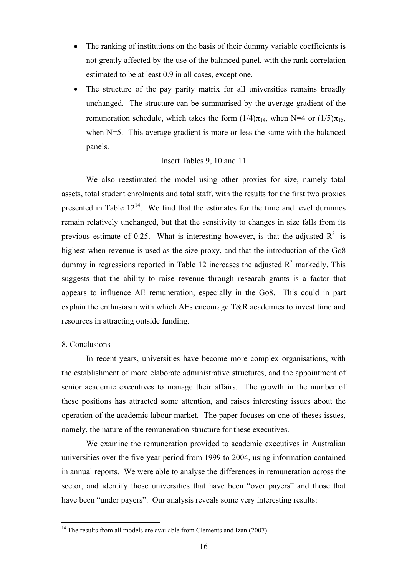- The ranking of institutions on the basis of their dummy variable coefficients is not greatly affected by the use of the balanced panel, with the rank correlation estimated to be at least 0.9 in all cases, except one.
- The structure of the pay parity matrix for all universities remains broadly unchanged. The structure can be summarised by the average gradient of the remuneration schedule, which takes the form  $(1/4)\pi_{14}$ , when N=4 or  $(1/5)\pi_{15}$ , when N=5. This average gradient is more or less the same with the balanced panels.

## Insert Tables 9, 10 and 11

 We also reestimated the model using other proxies for size, namely total assets, total student enrolments and total staff, with the results for the first two proxies presented in Table  $12^{14}$ . We find that the estimates for the time and level dummies remain relatively unchanged, but that the sensitivity to changes in size falls from its previous estimate of 0.25. What is interesting however, is that the adjusted  $R^2$  is highest when revenue is used as the size proxy, and that the introduction of the Go8 dummy in regressions reported in Table 12 increases the adjusted  $R^2$  markedly. This suggests that the ability to raise revenue through research grants is a factor that appears to influence AE remuneration, especially in the Go8. This could in part explain the enthusiasm with which AEs encourage T&R academics to invest time and resources in attracting outside funding.

### 8. Conclusions

 $\overline{a}$ 

In recent years, universities have become more complex organisations, with the establishment of more elaborate administrative structures, and the appointment of senior academic executives to manage their affairs. The growth in the number of these positions has attracted some attention, and raises interesting issues about the operation of the academic labour market. The paper focuses on one of theses issues, namely, the nature of the remuneration structure for these executives.

 We examine the remuneration provided to academic executives in Australian universities over the five-year period from 1999 to 2004, using information contained in annual reports. We were able to analyse the differences in remuneration across the sector, and identify those universities that have been "over payers" and those that have been "under payers". Our analysis reveals some very interesting results:

 $14$  The results from all models are available from Clements and Izan (2007).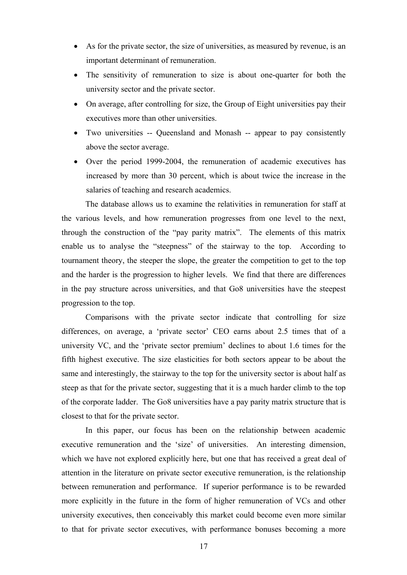- As for the private sector, the size of universities, as measured by revenue, is an important determinant of remuneration.
- The sensitivity of remuneration to size is about one-quarter for both the university sector and the private sector.
- On average, after controlling for size, the Group of Eight universities pay their executives more than other universities.
- Two universities -- Queensland and Monash -- appear to pay consistently above the sector average.
- Over the period 1999-2004, the remuneration of academic executives has increased by more than 30 percent, which is about twice the increase in the salaries of teaching and research academics.

The database allows us to examine the relativities in remuneration for staff at the various levels, and how remuneration progresses from one level to the next, through the construction of the "pay parity matrix". The elements of this matrix enable us to analyse the "steepness" of the stairway to the top. According to tournament theory, the steeper the slope, the greater the competition to get to the top and the harder is the progression to higher levels. We find that there are differences in the pay structure across universities, and that Go8 universities have the steepest progression to the top.

Comparisons with the private sector indicate that controlling for size differences, on average, a 'private sector' CEO earns about 2.5 times that of a university VC, and the 'private sector premium' declines to about 1.6 times for the fifth highest executive. The size elasticities for both sectors appear to be about the same and interestingly, the stairway to the top for the university sector is about half as steep as that for the private sector, suggesting that it is a much harder climb to the top of the corporate ladder. The Go8 universities have a pay parity matrix structure that is closest to that for the private sector.

In this paper, our focus has been on the relationship between academic executive remuneration and the 'size' of universities. An interesting dimension, which we have not explored explicitly here, but one that has received a great deal of attention in the literature on private sector executive remuneration, is the relationship between remuneration and performance. If superior performance is to be rewarded more explicitly in the future in the form of higher remuneration of VCs and other university executives, then conceivably this market could become even more similar to that for private sector executives, with performance bonuses becoming a more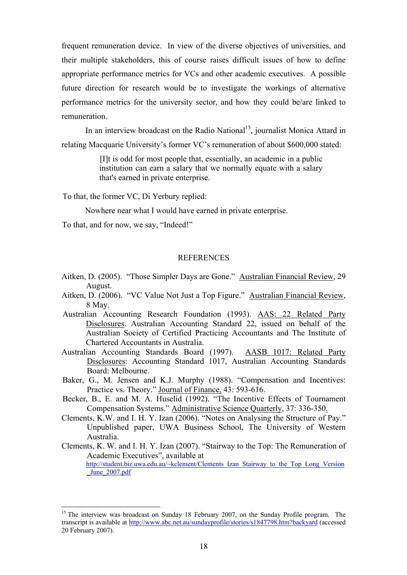frequent remuneration device. In view of the diverse objectives of universities, and their multiple stakeholders, this of course raises difficult issues of how to define appropriate performance metrics for VCs and other academic executives. A possible future direction for research would be to investigate the workings of alternative performance metrics for the university sector, and how they could be/are linked to remuneration.

In an interview broadcast on the Radio National<sup>15</sup>, journalist Monica Attard in relating Macquarie University's former VC's remuneration of about \$600,000 stated:

> [I]t is odd for most people that, essentially, an academic in a public institution can earn a salary that we normally equate with a salary that's earned in private enterprise.

To that, the former VC, Di Yerbury replied:

Nowhere near what I would have earned in private enterprise.

To that, and for now, we say, "Indeed!"

 $\overline{a}$ 

## **REFERENCES**

- Aitken, D. (2005). "Those Simpler Days are Gone." Australian Financial Review, 29 August.
- Aitken, D. (2006). "VC Value Not Just a Top Figure." Australian Financial Review, 8 May.
- Australian Accounting Research Foundation (1993). AAS: 22 Related Party Disclosures. Australian Accounting Standard 22, issued on behalf of the Australian Society of Certified Practicing Accountants and The Institute of Chartered Accountants in Australia.
- Australian Accounting Standards Board (1997). AASB 1017: Related Party Disclosures: Accounting Standard 1017, Australian Accounting Standards Board: Melbourne.
- Baker, G., M. Jensen and K.J. Murphy (1988). "Compensation and Incentives: Practice vs. Theory." Journal of Finance, 43: 593-616.
- Becker, B., E. and M. A. Huselid (1992). "The Incentive Effects of Tournament Compensation Systems." Administrative Science Quarterly, 37: 336-350.
- Clements, K.W. and I. H. Y. Izan (2006). "Notes on Analysing the Structure of Pay." Unpublished paper, UWA Business School, The University of Western Australia.
- Clements, K. W. and I. H. Y. Izan (2007). "Stairway to the Top: The Remuneration of Academic Executives", available at http://student.biz.uwa.edu.au/~kclement/Clements\_Izan\_Stairway\_to\_the\_Top\_Long\_Version June 2007.pdf

<sup>&</sup>lt;sup>15</sup> The interview was broadcast on Sunday 18 February 2007, on the Sunday Profile program. The transcript is available at http://www.abc.net.au/sundayprofile/stories/s1847798.htm?backyard (accessed 20 February 2007).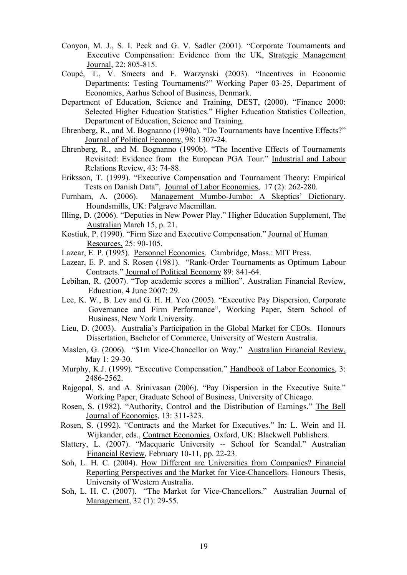- Conyon, M. J., S. I. Peck and G. V. Sadler (2001). "Corporate Tournaments and Executive Compensation: Evidence from the UK, Strategic Management Journal, 22: 805-815.
- Coupé, T., V. Smeets and F. Warzynski (2003). "Incentives in Economic Departments: Testing Tournaments?" Working Paper 03-25, Department of Economics, Aarhus School of Business, Denmark.
- Department of Education, Science and Training, DEST, (2000). "Finance 2000: Selected Higher Education Statistics." Higher Education Statistics Collection, Department of Education, Science and Training.
- Ehrenberg, R., and M. Bognanno (1990a). "Do Tournaments have Incentive Effects?" Journal of Political Economy, 98: 1307-24.
- Ehrenberg, R., and M. Bognanno (1990b). "The Incentive Effects of Tournaments Revisited: Evidence from the European PGA Tour." Industrial and Labour Relations Review, 43: 74-88.
- Eriksson, T. (1999). "Executive Compensation and Tournament Theory: Empirical Tests on Danish Data", Journal of Labor Economics, 17 (2): 262-280.
- Furnham, A. (2006). Management Mumbo-Jumbo: A Skeptics' Dictionary. Houndsmills, UK: Palgrave Macmillan.
- Illing, D. (2006). "Deputies in New Power Play." Higher Education Supplement, The Australian March 15, p. 21.
- Kostiuk, P. (1990). "Firm Size and Executive Compensation." Journal of Human Resources, 25: 90-105.
- Lazear, E. P. (1995). Personnel Economics. Cambridge, Mass.: MIT Press.
- Lazear, E. P. and S. Rosen (1981). "Rank-Order Tournaments as Optimum Labour Contracts." Journal of Political Economy 89: 841-64.
- Lebihan, R. (2007). "Top academic scores a million". Australian Financial Review, Education, 4 June 2007: 29.
- Lee, K. W., B. Lev and G. H. H. Yeo (2005). "Executive Pay Dispersion, Corporate Governance and Firm Performance", Working Paper, Stern School of Business, New York University.
- Lieu, D. (2003). Australia's Participation in the Global Market for CEOs. Honours Dissertation, Bachelor of Commerce, University of Western Australia.
- Maslen, G. (2006). "\$1m Vice-Chancellor on Way." Australian Financial Review, May 1: 29-30.
- Murphy, K.J. (1999). "Executive Compensation." Handbook of Labor Economics, 3: 2486-2562.
- Rajgopal, S. and A. Srinivasan (2006). "Pay Dispersion in the Executive Suite." Working Paper, Graduate School of Business, University of Chicago.
- Rosen, S. (1982). "Authority, Control and the Distribution of Earnings." The Bell Journal of Economics, 13: 311-323.
- Rosen, S. (1992). "Contracts and the Market for Executives." In: L. Wein and H. Wijkander, eds., Contract Economics, Oxford, UK: Blackwell Publishers.
- Slattery, L. (2007). "Macquarie University -- School for Scandal." Australian Financial Review, February 10-11, pp. 22-23.
- Soh, L. H. C. (2004). How Different are Universities from Companies? Financial Reporting Perspectives and the Market for Vice-Chancellors. Honours Thesis, University of Western Australia.
- Soh, L. H. C. (2007). "The Market for Vice-Chancellors." Australian Journal of Management, 32 (1): 29-55.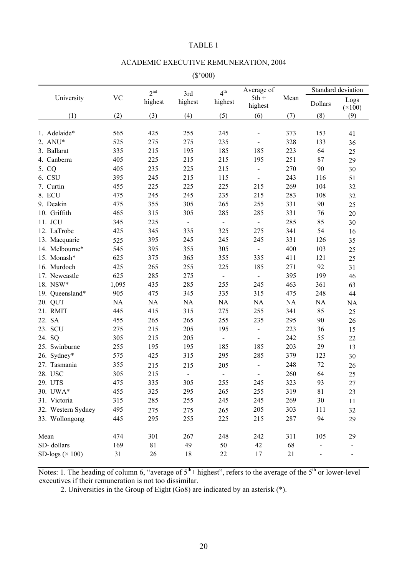|                        |           | 2 <sup>nd</sup> | 3rd            | 4 <sup>th</sup> | Average of               |      |                          | Standard deviation     |  |
|------------------------|-----------|-----------------|----------------|-----------------|--------------------------|------|--------------------------|------------------------|--|
| University             | <b>VC</b> | highest         | highest        | highest         | $5th +$<br>highest       | Mean | Dollars                  | Logs<br>$(\times 100)$ |  |
| (1)                    | (2)       | (3)             | (4)            | (5)             | (6)                      | (7)  | (8)                      | (9)                    |  |
|                        |           |                 |                |                 |                          |      |                          |                        |  |
| 1. Adelaide*           | 565       | 425             | 255            | 245             | $\overline{\phantom{a}}$ | 373  | 153                      | 41                     |  |
| 2. ANU*                | 525       | 275             | 275            | 235             | $\blacksquare$           | 328  | 133                      | 36                     |  |
| 3. Ballarat            | 335       | 215             | 195            | 185             | 185                      | 223  | 64                       | 25                     |  |
| 4. Canberra            | 405       | 225             | 215            | 215             | 195                      | 251  | $87\,$                   | 29                     |  |
| 5. CQ                  | 405       | 235             | 225            | 215             | $\blacksquare$           | 270  | 90                       | 30                     |  |
| 6. CSU                 | 395       | 245             | 215            | 115             | $\blacksquare$           | 243  | 116                      | 51                     |  |
| 7. Curtin              | 455       | 225             | 225            | 225             | 215                      | 269  | 104                      | 32                     |  |
| 8. ECU                 | 475       | 245             | 245            | 235             | 215                      | 283  | 108                      | 32                     |  |
| 9. Deakin              | 475       | 355             | 305            | 265             | 255                      | 331  | 90                       | 25                     |  |
| 10. Griffith           | 465       | 315             | 305            | 285             | 285                      | 331  | 76                       | 20                     |  |
| 11. JCU                | 345       | 225             | $\blacksquare$ | $\blacksquare$  | $\blacksquare$           | 285  | 85                       | 30                     |  |
| 12. LaTrobe            | 425       | 345             | 335            | 325             | 275                      | 341  | 54                       | 16                     |  |
| 13. Macquarie          | 525       | 395             | 245            | 245             | 245                      | 331  | 126                      | 35                     |  |
| 14. Melbourne*         | 545       | 395             | 355            | 305             | $\blacksquare$           | 400  | 103                      | 25                     |  |
| 15. Monash*            | 625       | 375             | 365            | 355             | 335                      | 411  | 121                      | 25                     |  |
| 16. Murdoch            | 425       | 265             | 255            | 225             | 185                      | 271  | 92                       | 31                     |  |
| 17. Newcastle          | 625       | 285             | 275            | $\blacksquare$  | $\blacksquare$           | 395  | 199                      | 46                     |  |
| 18. NSW*               | 1,095     | 435             | 285            | 255             | 245                      | 463  | 361                      | 63                     |  |
| 19. Queensland*        | 905       | 475             | 345            | 335             | 315                      | 475  | 248                      | 44                     |  |
| 20. QUT                | NA        | $\rm NA$        | NA             | $\rm NA$        | NA                       | NA   | NA                       | NA                     |  |
| 21. RMIT               | 445       | 415             | 315            | 275             | 255                      | 341  | 85                       | 25                     |  |
| 22. SA                 | 455       | 265             | 265            | 255             | 235                      | 295  | 90                       | 26                     |  |
| 23. SCU                | 275       | 215             | 205            | 195             | $\blacksquare$           | 223  | 36                       | 15                     |  |
| 24. SQ                 | 305       | 215             | 205            | $\blacksquare$  | $\blacksquare$           | 242  | 55                       | 22                     |  |
| 25. Swinburne          | 255       | 195             | 195            | 185             | 185                      | 203  | 29                       | 13                     |  |
| 26. Sydney*            | 575       | 425             | 315            | 295             | 285                      | 379  | 123                      | 30                     |  |
| 27. Tasmania           | 355       | 215             | 215            | 205             |                          | 248  | 72                       | 26                     |  |
| 28. USC                | 305       | 215             | $\blacksquare$ | $\blacksquare$  |                          | 260  | 64                       | 25                     |  |
| 29. UTS                | 475       | 335             | 305            | 255             | 245                      | 323  | 93                       | 27                     |  |
| 30. UWA*               | 455       | 325             | 295            | 265             | 255                      | 319  | 81                       | 23                     |  |
| 31. Victoria           | 315       | 285             | 255            | 245             | 245                      | 269  | $30\,$                   | 11                     |  |
| 32. Western Sydney     | 495       | 275             | 275            | 265             | 205                      | 303  | 111                      | 32                     |  |
| 33. Wollongong         | 445       | 295             | 255            | 225             | 215                      | 287  | 94                       | 29                     |  |
| Mean                   | 474       | 301             | 267            | 248             | 242                      | 311  | 105                      | 29                     |  |
| SD-dollars             | 169       | 81              | 49             | 50              | 42                       | 68   |                          |                        |  |
| SD-logs $(\times 100)$ | 31        | 26              | 18             | $22\,$          | 17                       | 21   | $\overline{\phantom{0}}$ | $\blacksquare$         |  |

## ACADEMIC EXECUTIVE REMUNERATION, 2004

## (\$'000)

Notes: 1. The heading of column 6, "average of  $5<sup>th</sup>$ + highest", refers to the average of the  $5<sup>th</sup>$  or lower-level executives if their remuneration is not too dissimilar.

2. Universities in the Group of Eight (Go8) are indicated by an asterisk (\*).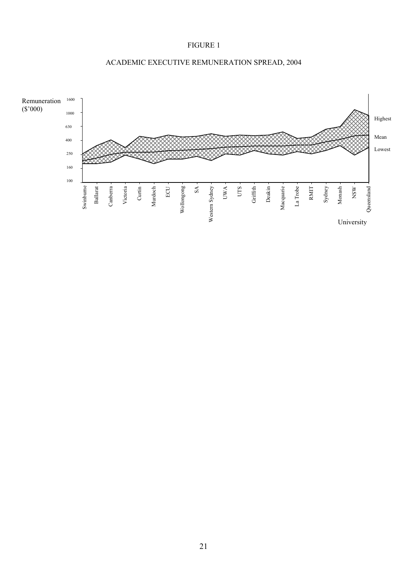### FIGURE 1



## ACADEMIC EXECUTIVE REMUNERATION SPREAD, 2004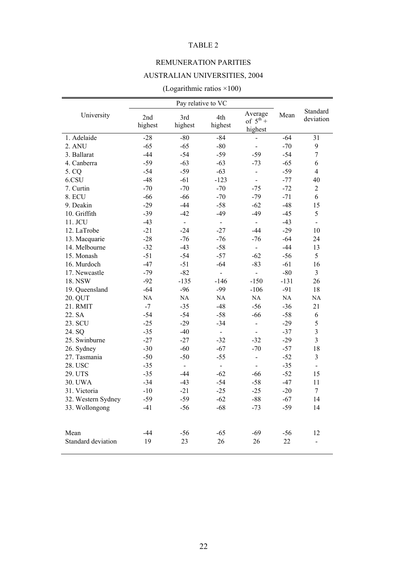## REMUNERATION PARITIES

## AUSTRALIAN UNIVERSITIES, 2004

# (Logarithmic ratios ×100)

| University         | 2nd<br>3rd<br>4th<br>highest<br>highest<br>highest |                          | Average<br>of $5^{\text{th}}$ +<br>highest | Mean                      | Standard<br>deviation |                          |
|--------------------|----------------------------------------------------|--------------------------|--------------------------------------------|---------------------------|-----------------------|--------------------------|
| 1. Adelaide        | $-28$                                              | $-80$                    | $-84$                                      | $\blacksquare$            | $-64$                 | 31                       |
| 2. ANU             | $-65$                                              | $-65$                    | $-80$                                      | $\frac{1}{2}$             | $-70$                 | 9                        |
| 3. Ballarat        | $-44$                                              | $-54$                    | $-59$                                      | $-59$                     | $-54$                 | $\boldsymbol{7}$         |
| 4. Canberra        | $-59$                                              | $-63$                    | $-63$                                      | $-73$                     | $-65$                 | 6                        |
| 5. CQ              | $-54$                                              | $-59$                    | $-63$                                      | $\overline{a}$            | $-59$                 | $\overline{4}$           |
| 6.CSU              | $-48$                                              | $-61$                    | $-123$                                     | $\overline{a}$            | $-77$                 | 40                       |
| 7. Curtin          | $-70$                                              | $-70$                    | $-70$                                      | $-75$                     | $-72$                 | $\overline{2}$           |
| 8. ECU             | $-66$                                              | $-66$                    | $-70$                                      | $-79$                     | $-71$                 | 6                        |
| 9. Deakin          | $-29$                                              | $-44$                    | $-58$                                      | $-62$                     | $-48$                 | 15                       |
| 10. Griffith       | $-39$                                              | $-42$                    | $-49$                                      | $-49$                     | $-45$                 | 5                        |
| 11. JCU            | $-43$                                              | $\overline{a}$           | $\mathbf{r}$                               | $\mathbb{Z}^{\mathbb{Z}}$ | $-43$                 | $\overline{\phantom{a}}$ |
| 12. LaTrobe        | $-21$                                              | $-24$                    | $-27$                                      | $-44$                     | $-29$                 | 10                       |
| 13. Macquarie      | $-28$                                              | $-76$                    | $-76$                                      | $-76$                     | $-64$                 | 24                       |
| 14. Melbourne      | $-32$                                              | $-43$                    | $-58$                                      | $\mathbf{r}$              | $-44$                 | 13                       |
| 15. Monash         | $-51$                                              | $-54$                    | $-57$                                      | $-62$                     | $-56$                 | 5                        |
| 16. Murdoch        | $-47$                                              | $-51$                    | $-64$                                      | $-83$                     | $-61$                 | 16                       |
| 17. Newcastle      | $-79$                                              | $-82$                    | $\frac{1}{2}$                              | $\mathbb{R}^2$            | $-80$                 | $\overline{3}$           |
| 18. NSW            | $-92$                                              | $-135$                   | $-146$                                     | $-150$                    | $-131$                | 26                       |
| 19. Queensland     | $-64$                                              | $-96$                    | $-99$                                      | $-106$                    | $-91$                 | 18                       |
| 20. QUT            | NA                                                 | NA                       | NA                                         | NA                        | NA                    | NA                       |
| 21. RMIT           | $-7$                                               | $-35$                    | $-48$                                      | $-56$                     | $-36$                 | 21                       |
| 22. SA             | $-54$                                              | $-54$                    | $-58$                                      | -66                       | $-58$                 | 6                        |
| 23. SCU            | $-25$                                              | $-29$                    | $-34$                                      | $\overline{a}$            | $-29$                 | 5                        |
| 24. SQ             | $-35$                                              | $-40$                    | $\mathbf{r}$                               | $\overline{a}$            | $-37$                 | $\overline{\mathbf{3}}$  |
| 25. Swinburne      | $-27$                                              | $-27$                    | $-32$                                      | $-32$                     | $-29$                 | $\overline{\mathbf{3}}$  |
| 26. Sydney         | $-30$                                              | $-60$                    | $-67$                                      | $-70$                     | $-57$                 | 18                       |
| 27. Tasmania       | $-50$                                              | $-50$                    | $-55$                                      | $\blacksquare$            | $-52$                 | 3                        |
| 28. USC            | $-35$                                              | $\overline{\phantom{a}}$ | $\blacksquare$                             | $\Box$                    | $-35$                 | $\overline{\phantom{a}}$ |
| 29. UTS            | $-35$                                              | $-44$                    | $-62$                                      | $-66$                     | $-52$                 | 15                       |
| 30. UWA            | $-34$                                              | $-43$                    | $-54$                                      | $-58$                     | $-47$                 | 11                       |
| 31. Victoria       | $-10$                                              | $-21$                    | $-25$                                      | $-25$                     | $-20$                 | $\tau$                   |
| 32. Western Sydney | $-59$                                              | $-59$                    | $-62$                                      | $-88$                     | $-67$                 | 14                       |
| 33. Wollongong     | $-41$                                              | $-56$                    | $-68$                                      | $-73$                     | $-59$                 | 14                       |
| Mean               | $-44$                                              | $-56$                    | $-65$                                      | $-69$                     | $-56$                 | 12                       |
| Standard deviation | 19                                                 | 23                       | 26                                         | 26                        | 22                    | $\overline{a}$           |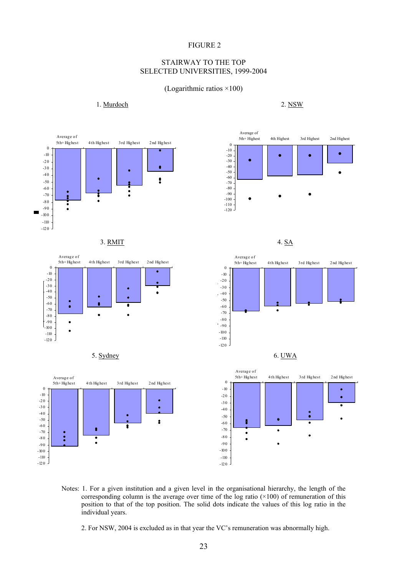#### FIGURE 2

#### STAIRWAY TO THE TOP SELECTED UNIVERSITIES, 1999-2004

#### (Logarithmic ratios ×100)

#### 1. Murdoch 2. NSW





















Notes: 1. For a given institution and a given level in the organisational hierarchy, the length of the corresponding column is the average over time of the log ratio  $(\times 100)$  of remuneration of this position to that of the top position. The solid dots indicate the values of this log ratio in the individual years.

2. For NSW, 2004 is excluded as in that year the VC's remuneration was abnormally high.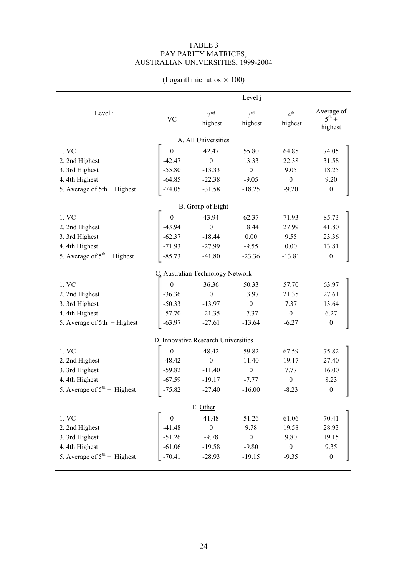## TABLE 3 PAY PARITY MATRICES, AUSTRALIAN UNIVERSITIES, 1999-2004

|                                  |                  |                                     | Level j                    |                            |                                            |
|----------------------------------|------------------|-------------------------------------|----------------------------|----------------------------|--------------------------------------------|
| Level i                          | <b>VC</b>        | 2 <sup>nd</sup><br>highest          | 3 <sup>rd</sup><br>highest | 4 <sup>th</sup><br>highest | Average of<br>$5^{\text{th}} +$<br>highest |
|                                  |                  | A. All Universities                 |                            |                            |                                            |
| 1. VC                            | $\boldsymbol{0}$ | 42.47                               | 55.80                      | 64.85                      | 74.05                                      |
| 2. 2nd Highest                   | $-42.47$         | $\boldsymbol{0}$                    | 13.33                      | 22.38                      | 31.58                                      |
| 3. 3rd Highest                   | $-55.80$         | $-13.33$                            | $\boldsymbol{0}$           | 9.05                       | 18.25                                      |
| 4. 4th Highest                   | $-64.85$         | $-22.38$                            | $-9.05$                    | $\boldsymbol{0}$           | 9.20                                       |
| 5. Average of 5th + Highest      | $-74.05$         | $-31.58$                            | $-18.25$                   | $-9.20$                    | $\boldsymbol{0}$                           |
|                                  |                  | B. Group of Eight                   |                            |                            |                                            |
| 1. VC                            | $\boldsymbol{0}$ | 43.94                               | 62.37                      | 71.93                      | 85.73                                      |
| 2. 2nd Highest                   | $-43.94$         | $\boldsymbol{0}$                    | 18.44                      | 27.99                      | 41.80                                      |
| 3. 3rd Highest                   | $-62.37$         | $-18.44$                            | 0.00                       | 9.55                       | 23.36                                      |
| 4. 4th Highest                   | $-71.93$         | $-27.99$                            | $-9.55$                    | 0.00                       | 13.81                                      |
| 5. Average of $5^{th}$ + Highest | $-85.73$         | $-41.80$                            | $-23.36$                   | $-13.81$                   | $\boldsymbol{0}$                           |
|                                  |                  | C. Australian Technology Network    |                            |                            |                                            |
| 1. VC                            | $\boldsymbol{0}$ | 36.36                               | 50.33                      | 57.70                      | 63.97                                      |
| 2. 2nd Highest                   | $-36.36$         | $\boldsymbol{0}$                    | 13.97                      | 21.35                      | 27.61                                      |
| 3. 3rd Highest                   | $-50.33$         | $-13.97$                            | $\boldsymbol{0}$           | 7.37                       | 13.64                                      |
| 4. 4th Highest                   | $-57.70$         | $-21.35$                            | $-7.37$                    | $\boldsymbol{0}$           | 6.27                                       |
| 5. Average of 5th + Highest      | $-63.97$         | $-27.61$                            | $-13.64$                   | $-6.27$                    | $\boldsymbol{0}$                           |
|                                  |                  | D. Innovative Research Universities |                            |                            |                                            |
| 1. VC                            | $\boldsymbol{0}$ | 48.42                               | 59.82                      | 67.59                      | 75.82                                      |
| 2. 2nd Highest                   | $-48.42$         | $\boldsymbol{0}$                    | 11.40                      | 19.17                      | 27.40                                      |
| 3. 3rd Highest                   | $-59.82$         | $-11.40$                            | $\boldsymbol{0}$           | 7.77                       | 16.00                                      |
| 4. 4th Highest                   | $-67.59$         | $-19.17$                            | $-7.77$                    | $\boldsymbol{0}$           | 8.23                                       |
| 5. Average of $5^{th}$ + Highest | $-75.82$<br>L    | $-27.40$                            | $-16.00$                   | $-8.23$                    | $\boldsymbol{0}$                           |
|                                  |                  | E. Other                            |                            |                            |                                            |
| 1. VC                            | $\boldsymbol{0}$ | 41.48                               | 51.26                      | 61.06                      | 70.41                                      |
| 2. 2nd Highest                   | $-41.48$         | $\boldsymbol{0}$                    | 9.78                       | 19.58                      | 28.93                                      |
| 3. 3rd Highest                   | $-51.26$         | $-9.78$                             | $\boldsymbol{0}$           | 9.80                       | 19.15                                      |
| 4. 4th Highest                   | $-61.06$         | $-19.58$                            | $-9.80$                    | $\boldsymbol{0}$           | 9.35                                       |
| 5. Average of $5^{th}$ + Highest | $-70.41$         | $-28.93$                            | $-19.15$                   | $-9.35$                    | $\boldsymbol{0}$                           |

# (Logarithmic ratios × 100)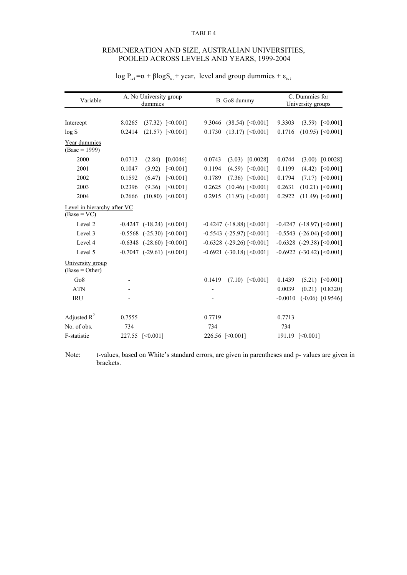## REMUNERATION AND SIZE, AUSTRALIAN UNIVERSITIES, POOLED ACROSS LEVELS AND YEARS, 1999-2004

| Variable                                     |        | A. No University group<br>dummies           |        | B. Go8 dummy                                | C. Dummies for<br>University groups |                                              |  |
|----------------------------------------------|--------|---------------------------------------------|--------|---------------------------------------------|-------------------------------------|----------------------------------------------|--|
| Intercept                                    | 8.0265 | $(37.32)$ [<0.001]                          |        | 9.3046 (38.54) $\lceil 0.001 \rceil$        | 9.3303                              | $(3.59)$ [<0.001]                            |  |
| log S                                        | 0.2414 | $(21.57)$ [<0.001]                          |        | $0.1730$ $(13.17)$ $\left[ <0.001 \right]$  | 0.1716                              | $(10.95)$ [<0.001]                           |  |
| Year dummies<br>$(Base = 1999)$              |        |                                             |        |                                             |                                     |                                              |  |
| 2000                                         | 0.0713 | (2.84)<br>[0.0046]                          | 0.0743 | $(3.03)$ $[0.0028]$                         | 0.0744                              | $(3.00)$ $[0.0028]$                          |  |
| 2001                                         | 0.1047 | (3.92)<br>$\left[$ < 0.001]                 | 0.1194 | $(4.59)$ [<0.001]                           | 0.1199                              | $(4.42)$ [<0.001]                            |  |
| 2002                                         | 0.1592 | (6.47)<br>$\left[$ < 0.001]                 | 0.1789 | $(7.36)$ [<0.001]                           | 0.1794                              | $(7.17)$ [<0.001]                            |  |
| 2003                                         | 0.2396 | $(9.36)$ [<0.001]                           | 0.2625 | $(10.46)$ [<0.001]                          | 0.2631                              | $(10.21)$ [<0.001]                           |  |
| 2004                                         | 0.2666 | $(10.80)$ [<0.001]                          |        | $0.2915$ (11.93) [<0.001]                   | 0.2922                              | $(11.49)$ [<0.001]                           |  |
| Level in hierarchy after VC<br>$(Base = VC)$ |        |                                             |        |                                             |                                     |                                              |  |
| Level 2                                      |        | $-0.4247$ $(-18.24)$ $\lceil 0.001 \rceil$  |        | $-0.4247$ ( $-18.88$ ) [ $< 0.001$ ]        |                                     | $-0.4247$ $(-18.97)$ $\lfloor 0.001 \rfloor$ |  |
| Level 3                                      |        | $-0.5568$ $(-25.30)$ $\lceil 0.001 \rceil$  |        | $-0.5543$ $(-25.97)$ $\lceil <0.001 \rceil$ |                                     | $-0.5543$ $(-26.04)$ $\lceil <0.001 \rceil$  |  |
| Level 4                                      |        | $-0.6348$ $(-28.60)$ $\lceil 50.001 \rceil$ |        | $-0.6328$ $(-29.26)$ $\lceil 50.001 \rceil$ |                                     | $-0.6328$ $(-29.38)$ $\left[<0.001\right]$   |  |
| Level 5                                      |        | $-0.7047$ $(-29.61)$ $\lceil <0.001 \rceil$ |        | $-0.6921$ $(-30.18)$ $[<0.001]$             |                                     | $-0.6922$ $(-30.42)$ $\lfloor 0.001 \rfloor$ |  |
| University group<br>$(Base = Other)$         |        |                                             |        |                                             |                                     |                                              |  |
| Go8                                          |        |                                             | 0.1419 | $(7.10)$ [<0.001]                           | 0.1439                              | $(5.21)$ [<0.001]                            |  |
| <b>ATN</b>                                   |        |                                             |        |                                             | 0.0039                              | $(0.21)$ [0.8320]                            |  |
| <b>IRU</b>                                   |        |                                             |        |                                             | $-0.0010$                           | $(-0.06)$ [0.9546]                           |  |
| Adjusted $R^2$                               | 0.7555 |                                             | 0.7719 |                                             | 0.7713                              |                                              |  |
| No. of obs.                                  | 734    |                                             | 734    |                                             | 734                                 |                                              |  |
| F-statistic                                  |        | 227.55 [< 0.001]                            |        | 226.56 [< 0.001]                            |                                     | 191.19 [< 0.001]                             |  |

log  $P_{\text{ict}} = \alpha + \beta \log S_{\text{ct}} + \text{year}$ , level and group dummies +  $\varepsilon_{\text{ict}}$ 

Note: t-values, based on White's standard errors, are given in parentheses and p- values are given in brackets.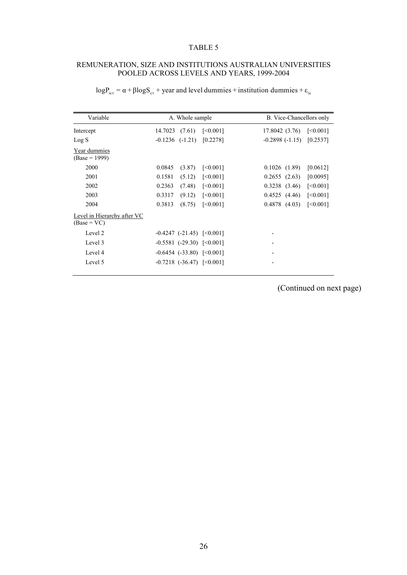#### REMUNERATION, SIZE AND INSTITUTIONS AUSTRALIAN UNIVERSITIES POOLED ACROSS LEVELS AND YEARS, 1999-2004

| Variable                                     | A. Whole sample                               | B. Vice-Chancellors only                      |
|----------------------------------------------|-----------------------------------------------|-----------------------------------------------|
| Intercept                                    | 14.7023 (7.61)<br>$\left[ \leq 0.001 \right]$ | 17.8042 (3.76)<br>$\left[ \leq 0.001 \right]$ |
| Log S                                        | $-0.1236$ $(-1.21)$<br>[0.2278]               | $-0.2898(-1.15)$<br>[0.2537]                  |
| Year dummies<br>$(Base = 1999)$              |                                               |                                               |
| 2000                                         | 0.0845<br>(3.87)<br>[<0.001]                  | $0.1026$ $(1.89)$<br>[0.0612]                 |
| 2001                                         | 0.1581<br>(5.12)<br>[<0.001]                  | 0.2655(2.63)<br>[0.0095]                      |
| 2002                                         | 0.2363<br>(7.48)<br>[<0.001]                  | $0.3238$ $(3.46)$<br>[<0.001]                 |
| 2003                                         | 0.3317<br>(9.12)<br>[<0.001]                  | 0.4525(4.46)<br>[<0.001]                      |
| 2004                                         | 0.3813<br>(8.75)<br>[<0.001]                  | $0.4878$ $(4.03)$<br>[<0.001]                 |
| Level in Hierarchy after VC<br>$(Base = VC)$ |                                               |                                               |
| Level 2                                      | $-0.4247$ $(-21.45)$ $\lceil 5.001 \rceil$    |                                               |
| Level 3                                      | $-0.5581$ ( $-29.30$ ) [ $< 0.001$ ]          |                                               |
| Level 4                                      | $-0.6454$ ( $-33.80$ ) [ $\leq 0.001$ ]       |                                               |
| Level 5                                      | $-0.7218$ $(-36.47)$ $\lceil <0.001 \rceil$   |                                               |

 $logP_{\text{ict}} = \alpha + \beta logS_{\text{ct}} + \text{year}$  and level dummies + institution dummies +  $\varepsilon_{\text{ic}}$ 

(Continued on next page)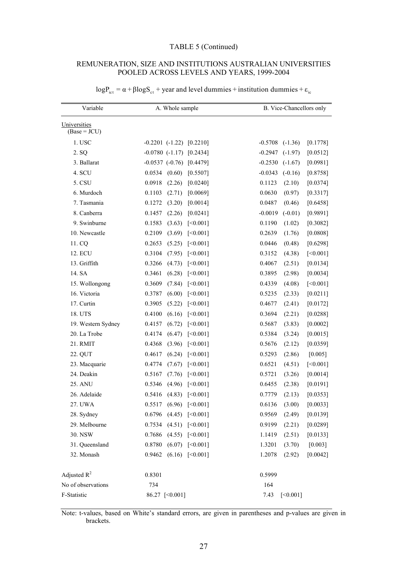#### TABLE 5 (Continued)

## REMUNERATION, SIZE AND INSTITUTIONS AUSTRALIAN UNIVERSITIES POOLED ACROSS LEVELS AND YEARS, 1999-2004

| Variable                       | A. Whole sample                          | B. Vice-Chancellors only           |  |  |  |  |
|--------------------------------|------------------------------------------|------------------------------------|--|--|--|--|
| Universities<br>$(Base = JCU)$ |                                          |                                    |  |  |  |  |
| 1. USC                         | $-0.2201$ $(-1.22)$ $[0.2210]$           | $-0.5708$<br>$(-1.36)$<br>[0.1778] |  |  |  |  |
| 2. SQ                          | $-0.0780$ $(-1.17)$ $[0.2434]$           | $-0.2947$<br>$(-1.97)$<br>[0.0512] |  |  |  |  |
| 3. Ballarat                    | $-0.0537$ $(-0.76)$<br>[0.4479]          | $-0.2530$<br>$(-1.67)$<br>[0.0981] |  |  |  |  |
| 4. SCU                         | $0.0534$ $(0.60)$<br>[0.5507]            | $-0.0343$<br>$(-0.16)$<br>[0.8758] |  |  |  |  |
| 5. CSU                         | 0.0918<br>(2.26)<br>[0.0240]             | 0.1123<br>(2.10)<br>[0.0374]       |  |  |  |  |
| 6. Murdoch                     | [0.0069]<br>0.1103<br>(2.71)             | 0.0630<br>(0.97)<br>[0.3317]       |  |  |  |  |
| 7. Tasmania                    | [0.0014]<br>0.1272<br>(3.20)             | 0.0487<br>(0.46)<br>[0.6458]       |  |  |  |  |
| 8. Canberra                    | 0.1457<br>(2.26)<br>[0.0241]             | $-0.0019$<br>$(-0.01)$<br>[0.9891] |  |  |  |  |
| 9. Swinburne                   | 0.1583<br>(3.63)<br>[<0.001]             | 0.1190<br>(1.02)<br>[0.3082]       |  |  |  |  |
| 10. Newcastle                  | (3.69)<br>0.2109<br>[<0.001]             | 0.2639<br>(1.76)<br>[0.0808]       |  |  |  |  |
| 11. CQ                         | (5.25)<br>[<0.001]<br>0.2653             | 0.0446<br>(0.48)<br>[0.6298]       |  |  |  |  |
| 12. ECU                        | 0.3104<br>(7.95)<br>[<0.001]             | 0.3152<br>(4.38)<br>[<0.001]       |  |  |  |  |
| 13. Griffith                   | 0.3266<br>(4.73)<br>[<0.001]             | 0.4067<br>(2.51)<br>[0.0134]       |  |  |  |  |
| 14. SA                         | 0.3461<br>(6.28)<br>[<0.001]             | 0.3895<br>(2.98)<br>[0.0034]       |  |  |  |  |
| 15. Wollongong                 | 0.3609<br>(7.84)<br>$\left[$ < 0.001]    | 0.4339<br>(4.08)<br>[<0.001]       |  |  |  |  |
| 16. Victoria                   | 0.3787<br>(6.00)<br>[<0.001]             | 0.5235<br>(2.33)<br>[0.0211]       |  |  |  |  |
| 17. Curtin                     | 0.3905<br>(5.22)<br>[<0.001]             | 0.4677<br>(2.41)<br>[0.0172]       |  |  |  |  |
| 18. UTS                        | (6.16)<br>0.4100<br>[<0.001]             | 0.3694<br>(2.21)<br>[0.0288]       |  |  |  |  |
| 19. Western Sydney             | 0.4157<br>(6.72)<br>[<0.001]             | [0.0002]<br>0.5687<br>(3.83)       |  |  |  |  |
| 20. La Trobe                   | 0.4174<br>(6.47)<br>[<0.001]             | 0.5384<br>[0.0015]<br>(3.24)       |  |  |  |  |
| 21. RMIT                       | 0.4368<br>(3.96)<br>[<0.001]             | 0.5676<br>(2.12)<br>[0.0359]       |  |  |  |  |
| 22. QUT                        | 0.4617<br>(6.24)<br>[<0.001]             | 0.5293<br>(2.86)<br>[0.005]        |  |  |  |  |
| 23. Macquarie                  | 0.4774<br>(7.67)<br>[<0.001]             | [<0.001]<br>0.6521<br>(4.51)       |  |  |  |  |
| 24. Deakin                     | 0.5167<br>(7.76)<br>[<0.001]             | 0.5721<br>(3.26)<br>[0.0014]       |  |  |  |  |
| 25. ANU                        | 0.5346<br>(4.96)<br>[<0.001]             | 0.6455<br>(2.38)<br>[0.0191]       |  |  |  |  |
| 26. Adelaide                   | 0.5416<br>(4.83)<br>$\left[$ < 0.001]    | 0.7779<br>(2.13)<br>[0.0353]       |  |  |  |  |
| 27. UWA                        | $0.5517$ (6.96) [<0.001]                 | 0.6136<br>(3.00)<br>[0.0033]       |  |  |  |  |
| 28. Sydney                     | $0.6796$ $(4.45)$ $\lceil <0.001 \rceil$ | 0.9569<br>(2.49)<br>[0.0139]       |  |  |  |  |
| 29. Melbourne                  | $(4.51)$ [<0.001]<br>0.7534              | 0.9199<br>(2.21)<br>[0.0289]       |  |  |  |  |
| 30. NSW                        | $(4.55)$ [<0.001]<br>0.7686              | 1.1419<br>(2.51)<br>[0.0133]       |  |  |  |  |
| 31. Queensland                 | $(6.07)$ [<0.001]<br>0.8780              | (3.70)<br>[0.003]<br>1.3201        |  |  |  |  |
| 32. Monash                     | $(6.16)$ [<0.001]<br>0.9462              | 1.2078<br>[0.0042]<br>(2.92)       |  |  |  |  |
| Adjusted $R^2$                 | 0.8301                                   | 0.5999                             |  |  |  |  |
| No of observations             | 734                                      | 164                                |  |  |  |  |
| F-Statistic                    | $86.27$ [<0.001]                         | 7.43<br>[<0.001]                   |  |  |  |  |

 $log P_{\text{ict}} = \alpha + \beta log S_{\text{ct}} + \text{year}$  and level dummies + institution dummies +  $\varepsilon_{\text{ic}}$ 

Note: t-values, based on White's standard errors, are given in parentheses and p-values are given in brackets.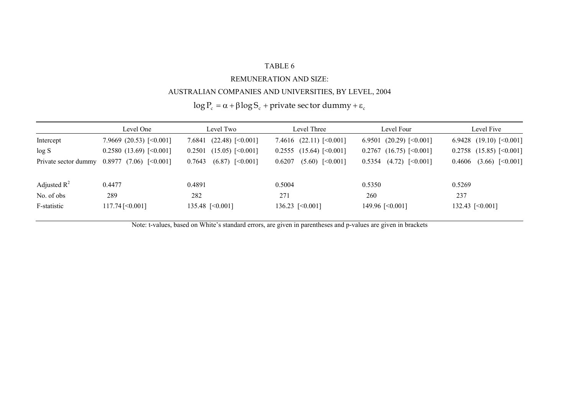#### REMUNERATION AND SIZE:

### AUSTRALIAN COMPANIES AND UNIVERSITIES, BY LEVEL, 2004

#### $\log \rm P_c = \alpha + \beta \log S_c +$  private sec tor dummy +  $\varepsilon_c$

|                      | Level One                             | Level Two                     | Level Three                        | Level Four                            | Level Five                               |
|----------------------|---------------------------------------|-------------------------------|------------------------------------|---------------------------------------|------------------------------------------|
| Intercept            | 7.9669 (20.53) $\lceil 50.001 \rceil$ | 7.6841 $(22.48)$ [<0.001]     | 7.4616 $(22.11)$ [<0.001]          | 6.9501 (20.29) $\lceil <0.001 \rceil$ | 6.9428 (19.10) $\lceil < 0.001 \rceil$   |
| log S                | $0.2580(13.69)$ [<0.001]              | $0.2501$ (15.05) [<0.001]     | $0.2555$ (15.64) [<0.001]          | $0.2767$ (16.75) [<0.001]             | $0.2758$ (15.85) [<0.001]                |
| Private sector dummy | $0.8977$ (7.06) [<0.001]              | $(6.87)$ [<0.001]<br>0.7643   | $(5.60)$ [<0.001]<br>0.6207        | $(4.72)$ [<0.001]<br>0.5354           | $0.4606$ $(3.66)$ $\lceil <0.001 \rceil$ |
| Adjusted $R^2$       | 0.4477                                | 0.4891                        | 0.5004                             | 0.5350                                | 0.5269                                   |
| No. of obs           | 289                                   | 282                           | 271                                | 260                                   | 237                                      |
| F-statistic          | $117.74$ [ $\leq 0.001$ ]             | 135.48 $\lceil 50.001 \rceil$ | 136.23 $\left[ \leq 0.001 \right]$ | 149.96 [< 0.001]                      | 132.43 $\left[ < 0.001 \right]$          |

Note: t-values, based on White's standard errors, are given in parentheses and p-values are given in brackets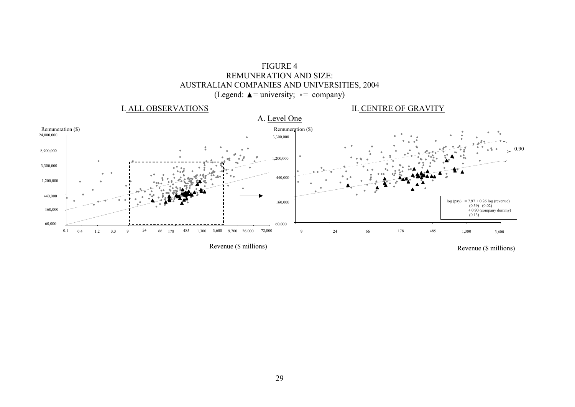

FIGURE 4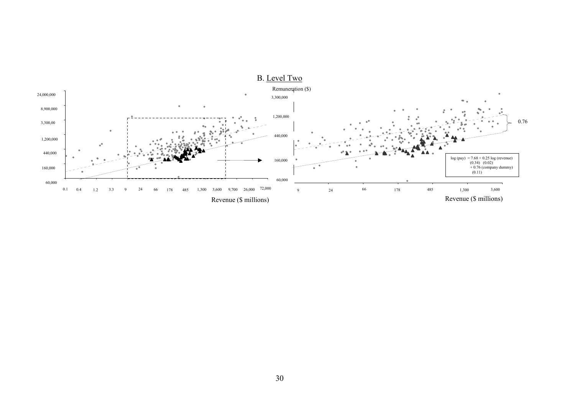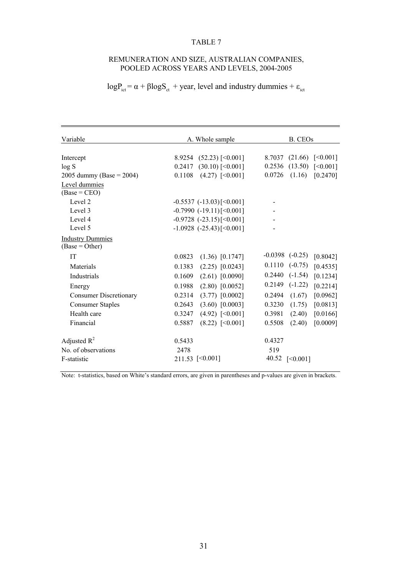## REMUNERATION AND SIZE, AUSTRALIAN COMPANIES, POOLED ACROSS YEARS AND LEVELS, 2004-2005

 $log P_{\text{ict}} = \alpha + \beta log S_{\text{ct}} + \text{year}$ , level and industry dummies +  $\varepsilon_{\text{ict}}$ 

| Variable                                    | A. Whole sample                     | <b>B.</b> CEOs                  |  |  |
|---------------------------------------------|-------------------------------------|---------------------------------|--|--|
|                                             |                                     |                                 |  |  |
| Intercept                                   | 8.9254 $(52.23)$ [<0.001]           | $8.7037$ (21.66) [<0.001]       |  |  |
| log S                                       | $(30.10)$ [<0.001]<br>0.2417        | (13.50)<br>0.2536<br>[<0.001]   |  |  |
| 2005 dummy (Base = $2004$ )                 | $(4.27)$ [<0.001]<br>0.1108         | 0.0726<br>(1.16)<br>[0.2470]    |  |  |
| Level dummies<br>$(Base = CEO)$             |                                     |                                 |  |  |
| Level 2                                     | $-0.5537$ $(-13.03)$ $\leq 0.001$   |                                 |  |  |
| Level 3                                     | $-0.7990$ $(-19.11)$ $\leq 0.001$   |                                 |  |  |
| Level 4                                     | $-0.9728$ $(-23.15)$ $\leq 0.001$ ] |                                 |  |  |
| Level 5                                     | $-1.0928$ $(-25.43)$ $\leq 0.001$   |                                 |  |  |
| <b>Industry Dummies</b><br>$(Base = Other)$ |                                     |                                 |  |  |
| <b>IT</b>                                   | $(1.36)$ $[0.1747]$<br>0.0823       | $-0.0398$ $(-0.25)$<br>[0.8042] |  |  |
| Materials                                   | $(2.25)$ $[0.0243]$<br>0.1383       | $0.1110 (-0.75)$<br>[0.4535]    |  |  |
| Industrials                                 | $(2.61)$ [0.0090]<br>0.1609         | 0.2440<br>$(-1.54)$<br>[0.1234] |  |  |
| Energy                                      | $(2.80)$ [0.0052]<br>0.1988         | 0.2149<br>$(-1.22)$<br>[0.2214] |  |  |
| <b>Consumer Discretionary</b>               | $(3.77)$ $[0.0002]$<br>0.2314       | 0.2494<br>[0.0962]<br>(1.67)    |  |  |
| <b>Consumer Staples</b>                     | $(3.60)$ [0.0003]<br>0.2643         | 0.3230<br>(1.75)<br>[0.0813]    |  |  |
| Health care                                 | 0.3247<br>$(4.92)$ [<0.001]         | [0.0166]<br>0.3981<br>(2.40)    |  |  |
| Financial                                   | 0.5887<br>$(8.22)$ [<0.001]         | [0.0009]<br>0.5508<br>(2.40)    |  |  |
| Adjusted $R^2$                              | 0.5433                              | 0.4327                          |  |  |
| No. of observations                         | 2478                                | 519                             |  |  |
| F-statistic                                 | 211.53 [<0.001]                     | 40.52 $\left[ < 0.001 \right]$  |  |  |

Note: t-statistics, based on White's standard errors, are given in parentheses and p-values are given in brackets.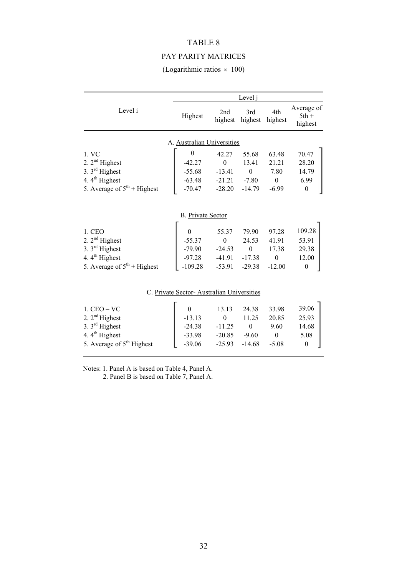### PAY PARITY MATRICES

## (Logarithmic ratios × 100)

|                                  |                                            |                                            | Level j          |                  |                                  |
|----------------------------------|--------------------------------------------|--------------------------------------------|------------------|------------------|----------------------------------|
| Level i                          | Highest                                    | 2nd<br>highest                             | 3rd<br>highest   | 4th<br>highest   | Average of<br>$5th +$<br>highest |
|                                  | A. Australian Universities                 |                                            |                  |                  |                                  |
| 1. VC                            | $\theta$                                   | 42.27                                      | 55.68            | 63.48            | 70.47                            |
| 2. $2nd$ Highest                 | $-42.27$                                   | $\boldsymbol{0}$                           | 13.41            | 21.21            | 28.20                            |
| 3. $3^{\text{rd}}$ Highest       |                                            | $-55.68 -13.41$                            | $\boldsymbol{0}$ | 7.80             | 14.79                            |
| 4. 4 <sup>th</sup> Highest       |                                            | $-63.48$ $-21.21$                          | $-7.80$          | $\overline{0}$   | 6.99                             |
| 5. Average of $5^{th}$ + Highest | $-70.47$                                   | $-28.20$                                   | $-14.79$         | $-6.99$          | $\boldsymbol{0}$                 |
|                                  |                                            |                                            |                  |                  |                                  |
|                                  | <b>B.</b> Private Sector                   |                                            |                  |                  |                                  |
| 1. CEO                           | $\theta$                                   | 55.37                                      | 79.90            | 97.28            | 109.28                           |
| 2. $2nd$ Highest                 |                                            |                                            | 24.53            | 41.91            | 53.91                            |
| 3. $3^{\text{rd}}$ Highest       |                                            | -55.37 0<br>-79.90 -24.53<br>-97.28 -41.91 | $\boldsymbol{0}$ | 17.38            | 29.38                            |
| 4. 4 <sup>th</sup> Highest       |                                            |                                            | $-17.38$         | $\boldsymbol{0}$ | 12.00                            |
| 5. Average of $5^{th}$ + Highest | $-109.28$                                  | $-53.91$                                   | $-29.38$         | $-12.00$         | $\boldsymbol{0}$                 |
|                                  |                                            |                                            |                  |                  |                                  |
|                                  | C. Private Sector- Australian Universities |                                            |                  |                  |                                  |
| $1$ . CEO – VC                   |                                            | 13.13                                      | 24.38            | 33.98            | 39.06                            |
| 2. $2nd$ Highest                 | $-13.13$                                   | $\boldsymbol{0}$                           | 11.25            | 20.85            | 25.93                            |
| 3. $3^{\text{rd}}$ Highest       | $-24.38$                                   | $-11.25$                                   | $\boldsymbol{0}$ | 9.60             | 14.68                            |

4.  $4^{\text{th}}$  Highest  $\begin{vmatrix} -33.98 & -20.85 & -9.60 & 0 & 5.08 \end{vmatrix}$ 5. Average of  $5^{th}$  Highest  $\begin{bmatrix} -39.06 & -25.93 & -14.68 & -5.08 \end{bmatrix}$  0

Notes: 1. Panel A is based on Table 4, Panel A. 2. Panel B is based on Table 7, Panel A.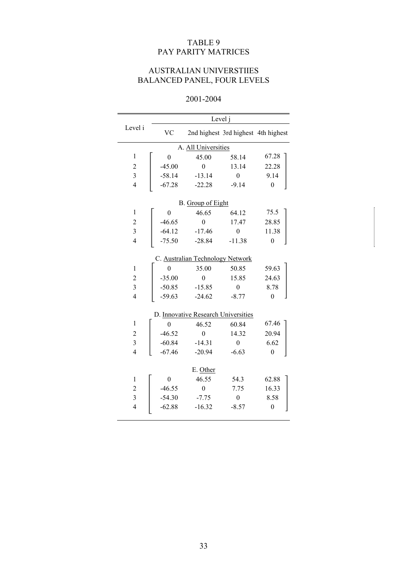## TABLE 9 PAY PARITY MATRICES

## AUSTRALIAN UNIVERSTIIES BALANCED PANEL, FOUR LEVELS

# 2001-2004

|                                  |                  | Level j                             |                                     |                  |  |  |  |  |  |
|----------------------------------|------------------|-------------------------------------|-------------------------------------|------------------|--|--|--|--|--|
| Level i                          | VC               |                                     | 2nd highest 3rd highest 4th highest |                  |  |  |  |  |  |
|                                  |                  | A. All Universities                 |                                     |                  |  |  |  |  |  |
| $\mathbf{1}$                     | $\boldsymbol{0}$ | 45.00                               | 58.14                               | 67.28            |  |  |  |  |  |
| $\overline{c}$                   | $-45.00$         | $\overline{0}$                      | 13.14                               | 22.28            |  |  |  |  |  |
| $\overline{3}$                   | $-58.14$         | $-13.14$                            | $\mathbf{0}$                        | 9.14             |  |  |  |  |  |
| $\overline{4}$                   | $-67.28$         | $-22.28$                            | $-9.14$                             | $\mathbf{0}$     |  |  |  |  |  |
| B. Group of Eight                |                  |                                     |                                     |                  |  |  |  |  |  |
| $\mathbf{1}$                     | $\boldsymbol{0}$ | 46.65                               | 64.12                               | 75.5             |  |  |  |  |  |
| $\overline{c}$                   | $-46.65$         | $\boldsymbol{0}$                    | 17.47                               | 28.85            |  |  |  |  |  |
| $\overline{\mathbf{3}}$          | $-64.12$         | $-17.46$                            | $\boldsymbol{0}$                    | 11.38            |  |  |  |  |  |
| $\overline{4}$                   | $-75.50$         | $-28.84$                            | $-11.38$                            | $\mathbf{0}$     |  |  |  |  |  |
|                                  |                  |                                     |                                     |                  |  |  |  |  |  |
| C. Australian Technology Network |                  |                                     |                                     |                  |  |  |  |  |  |
| $\mathbf{1}$                     | $\boldsymbol{0}$ | 35.00                               | 50.85                               | 59.63            |  |  |  |  |  |
| $\overline{c}$                   | $-35.00$         | $\boldsymbol{0}$                    | 15.85                               | 24.63            |  |  |  |  |  |
| $\overline{\mathbf{3}}$          | $-50.85$         | $-15.85$                            | $\mathbf{0}$                        | 8.78             |  |  |  |  |  |
| $\overline{4}$                   | $-59.63$         | $-24.62$                            | $-8.77$                             | $\boldsymbol{0}$ |  |  |  |  |  |
|                                  |                  | D. Innovative Research Universities |                                     |                  |  |  |  |  |  |
| 1                                | $\boldsymbol{0}$ | 46.52                               | 60.84                               | 67.46            |  |  |  |  |  |
| $\overline{c}$                   | $-46.52$         | $\boldsymbol{0}$                    | 14.32                               | 20.94            |  |  |  |  |  |
| $\overline{\mathbf{3}}$          | $-60.84$         | $-14.31$                            | $\boldsymbol{0}$                    | 6.62             |  |  |  |  |  |
| $\overline{4}$                   | $-67.46$         | $-20.94$                            | $-6.63$                             | $\boldsymbol{0}$ |  |  |  |  |  |
|                                  |                  |                                     |                                     |                  |  |  |  |  |  |
|                                  |                  | E. Other                            |                                     |                  |  |  |  |  |  |
| 1                                | $\boldsymbol{0}$ | 46.55                               | 54.3                                | 62.88            |  |  |  |  |  |
| $\overline{c}$                   | $-46.55$         | $\boldsymbol{0}$                    | 7.75                                | 16.33            |  |  |  |  |  |
| 3                                | $-54.30$         | $-7.75$                             | $\boldsymbol{0}$                    | 8.58             |  |  |  |  |  |
| $\overline{4}$                   | $-62.88$         | $-16.32$                            | $-8.57$                             | $\boldsymbol{0}$ |  |  |  |  |  |
|                                  |                  |                                     |                                     |                  |  |  |  |  |  |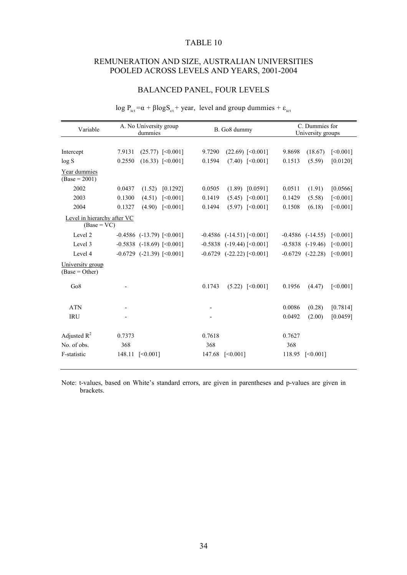## REMUNERATION AND SIZE, AUSTRALIAN UNIVERSITIES POOLED ACROSS LEVELS AND YEARS, 2001-2004

## BALANCED PANEL, FOUR LEVELS

| Variable                                     |        | A. No University group<br>dummies           |        | B. Go8 dummy                                |        | C. Dummies for<br>University groups         |          |  |
|----------------------------------------------|--------|---------------------------------------------|--------|---------------------------------------------|--------|---------------------------------------------|----------|--|
|                                              |        |                                             |        |                                             |        |                                             |          |  |
| Intercept                                    | 7.9131 | $(25.77)$ [<0.001]                          | 9.7290 | $(22.69)$ [<0.001]                          | 9.8698 | (18.67)                                     | [<0.001] |  |
| log S                                        | 0.2550 | $(16.33)$ [<0.001]                          | 0.1594 | $(7.40)$ [<0.001]                           | 0.1513 | (5.59)                                      | [0.0120] |  |
| Year dummies<br>$(Base = 2001)$              |        |                                             |        |                                             |        |                                             |          |  |
| 2002                                         | 0.0437 | $(1.52)$ $[0.1292]$                         | 0.0505 | $(1.89)$ $[0.0591]$                         | 0.0511 | (1.91)                                      | [0.0566] |  |
| 2003                                         | 0.1300 | (4.51)<br>[<0.001]                          | 0.1419 | $(5.45)$ [<0.001]                           | 0.1429 | (5.58)                                      | [<0.001] |  |
| 2004                                         | 0.1327 | $(4.90)$ [<0.001]                           | 0.1494 | $(5.97)$ [<0.001]                           | 0.1508 | (6.18)                                      | [<0.001] |  |
| Level in hierarchy after VC<br>$(Base = VC)$ |        |                                             |        |                                             |        |                                             |          |  |
| Level 2                                      |        | $-0.4586$ $(-13.79)$ $\lceil <0.001 \rceil$ |        | $-0.4586$ $(-14.51)$ $\leq 0.001$           |        | $-0.4586$ $(-14.55)$ $\lceil <0.001 \rceil$ |          |  |
| Level 3                                      |        | $-0.5838$ $(-18.69)$ $\lceil 0.001 \rceil$  |        | $-0.5838$ $(-19.44)$ $\lceil <0.001 \rceil$ |        | $-0.5838$ $(-19.46)$ $[<0.001]$             |          |  |
| Level 4                                      |        | $-0.6729$ $(-21.39)$ $\lceil 50.001 \rceil$ |        | $-0.6729$ $(-22.22)$ $\lceil <0.001 \rceil$ |        | $-0.6729$ $(-22.28)$ $\lceil <0.001 \rceil$ |          |  |
| University group<br>$(Base = Other)$         |        |                                             |        |                                             |        |                                             |          |  |
| Go <sub>8</sub>                              |        |                                             | 0.1743 | $(5.22)$ [<0.001]                           | 0.1956 | (4.47)                                      | [<0.001] |  |
| <b>ATN</b>                                   |        |                                             |        |                                             | 0.0086 | (0.28)                                      | [0.7814] |  |
| <b>IRU</b>                                   |        |                                             |        |                                             | 0.0492 | (2.00)                                      | [0.0459] |  |
| Adjusted $R^2$                               | 0.7373 |                                             | 0.7618 |                                             | 0.7627 |                                             |          |  |
| No. of obs.                                  | 368    |                                             | 368    |                                             | 368    |                                             |          |  |
| F-statistic                                  |        | 148.11 [<0.001]                             | 147.68 | $\left[ <0.001 \right]$                     |        | 118.95 $\lceil$ < 0.001]                    |          |  |
|                                              |        |                                             |        |                                             |        |                                             |          |  |

log  $P_{\text{ict}} = \alpha + \beta \log S_{\text{ct}} + \gamma$  year, level and group dummies +  $\varepsilon_{\text{ict}}$ 

Note: t-values, based on White's standard errors, are given in parentheses and p-values are given in brackets.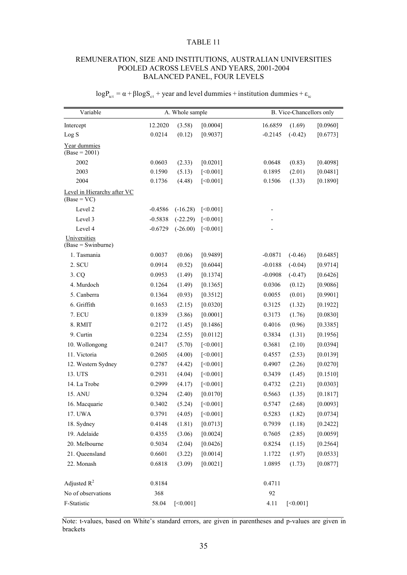## REMUNERATION, SIZE AND INSTITUTIONS, AUSTRALIAN UNIVERSITIES POOLED ACROSS LEVELS AND YEARS, 2001-2004 BALANCED PANEL, FOUR LEVELS

| Variable                                     | A. Whole sample |            |          | B. Vice-Chancellors only |           |           |          |
|----------------------------------------------|-----------------|------------|----------|--------------------------|-----------|-----------|----------|
| Intercept                                    | 12.2020         | (3.58)     | [0.0004] |                          | 16.6859   | (1.69)    | [0.0960] |
| Log S                                        | 0.0214          | (0.12)     | [0.9037] |                          | $-0.2145$ | $(-0.42)$ | [0.6773] |
| Year dummies<br>$(Base = 2001)$              |                 |            |          |                          |           |           |          |
| 2002                                         | 0.0603          | (2.33)     | [0.0201] |                          | 0.0648    | (0.83)    | [0.4098] |
| 2003                                         | 0.1590          | (5.13)     | [<0.001] |                          | 0.1895    | (2.01)    | [0.0481] |
| 2004                                         | 0.1736          | (4.48)     | [<0.001] |                          | 0.1506    | (1.33)    | [0.1890] |
| Level in Hierarchy after VC<br>$(Base = VC)$ |                 |            |          |                          |           |           |          |
| Level 2                                      | $-0.4586$       | $(-16.28)$ | [<0.001] |                          |           |           |          |
| Level 3                                      | $-0.5838$       | $(-22.29)$ | [<0.001] |                          |           |           |          |
| Level 4                                      | $-0.6729$       | $(-26.00)$ | [<0.001] |                          |           |           |          |
| Universities<br>$(Base = Swinburne)$         |                 |            |          |                          |           |           |          |
| 1. Tasmania                                  | 0.0037          | (0.06)     | [0.9489] |                          | $-0.0871$ | $(-0.46)$ | [0.6485] |
| 2. SCU                                       | 0.0914          | (0.52)     | [0.6044] |                          | $-0.0188$ | $(-0.04)$ | [0.9714] |
| 3. CQ                                        | 0.0953          | (1.49)     | [0.1374] |                          | $-0.0908$ | $(-0.47)$ | [0.6426] |
| 4. Murdoch                                   | 0.1264          | (1.49)     | [0.1365] |                          | 0.0306    | (0.12)    | [0.9086] |
| 5. Canberra                                  | 0.1364          | (0.93)     | [0.3512] |                          | 0.0055    | (0.01)    | [0.9901] |
| 6. Griffith                                  | 0.1653          | (2.15)     | [0.0320] |                          | 0.3125    | (1.32)    | [0.1922] |
| 7. ECU                                       | 0.1839          | (3.86)     | [0.0001] |                          | 0.3173    | (1.76)    | [0.0830] |
| 8. RMIT                                      | 0.2172          | (1.45)     | [0.1486] |                          | 0.4016    | (0.96)    | [0.3385] |
| 9. Curtin                                    | 0.2234          | (2.55)     | [0.0112] |                          | 0.3834    | (1.31)    | [0.1956] |
| 10. Wollongong                               | 0.2417          | (5.70)     | [<0.001] |                          | 0.3681    | (2.10)    | [0.0394] |
| 11. Victoria                                 | 0.2605          | (4.00)     | [<0.001] |                          | 0.4557    | (2.53)    | [0.0139] |
| 12. Western Sydney                           | 0.2787          | (4.42)     | [<0.001] |                          | 0.4907    | (2.26)    | [0.0270] |
| 13. UTS                                      | 0.2931          | (4.04)     | [<0.001] |                          | 0.3439    | (1.45)    | [0.1510] |
| 14. La Trobe                                 | 0.2999          | (4.17)     | [<0.001] |                          | 0.4732    | (2.21)    | [0.0303] |
| 15. ANU                                      | 0.3294          | (2.40)     | [0.0170] |                          | 0.5663    | (1.35)    | [0.1817] |
| 16. Macquarie                                | 0.3402          | (5.24)     | [<0.001] |                          | 0.5747    | (2.68)    | [0.0093] |
| 17. UWA                                      | 0.3791          | (4.05)     | [<0.001] |                          | 0.5283    | (1.82)    | [0.0734] |
| 18. Sydney                                   | 0.4148          | (1.81)     | [0.0713] |                          | 0.7939    | (1.18)    | [0.2422] |
| 19. Adelaide                                 | 0.4355          | (3.06)     | [0.0024] |                          | 0.7605    | (2.85)    | [0.0059] |
| 20. Melbourne                                | 0.5034          | (2.04)     | [0.0426] |                          | 0.8254    | (1.15)    | [0.2564] |
| 21. Queensland                               | 0.6601          | (3.22)     | [0.0014] |                          | 1.1722    | (1.97)    | [0.0533] |
| 22. Monash                                   | 0.6818          | (3.09)     | [0.0021] |                          | 1.0895    | (1.73)    | [0.0877] |
| Adjusted $R^2$                               | 0.8184          |            |          |                          | 0.4711    |           |          |
| No of observations                           | 368             |            |          |                          | 92        |           |          |
| F-Statistic                                  | 58.04           | [<0.001]   |          |                          | 4.11      | [<0.001]  |          |

 $log P_{\text{ict}} = \alpha + \beta log S_{\text{ct}} + \text{year}$  and level dummies + institution dummies +  $\varepsilon_{\text{ic}}$ 

Note: t-values, based on White's standard errors, are given in parentheses and p-values are given in brackets